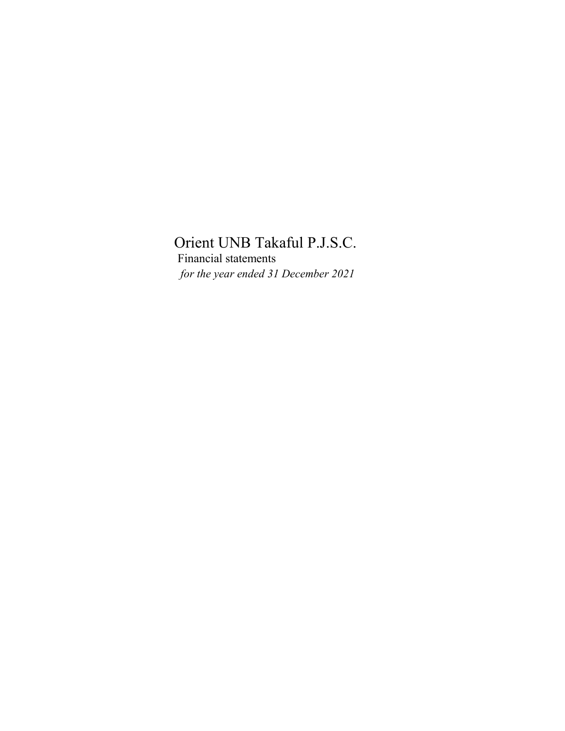*for the year ended 31 December 2021* Financial statements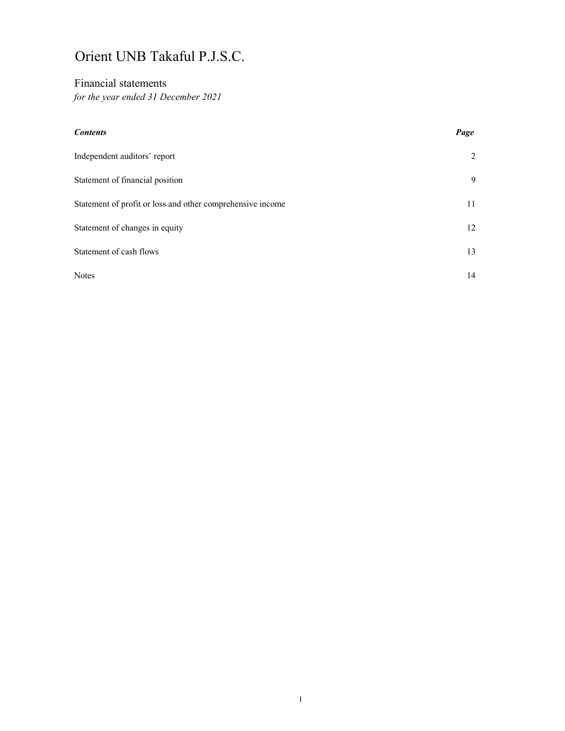# Financial statements

*for the year ended 31 December 2021*

# *Contents Page*

| Independent auditors' report                               | 2  |
|------------------------------------------------------------|----|
| Statement of financial position                            | 9  |
| Statement of profit or loss and other comprehensive income | 11 |
| Statement of changes in equity                             | 12 |
| Statement of cash flows                                    | 13 |
| <b>Notes</b>                                               | 14 |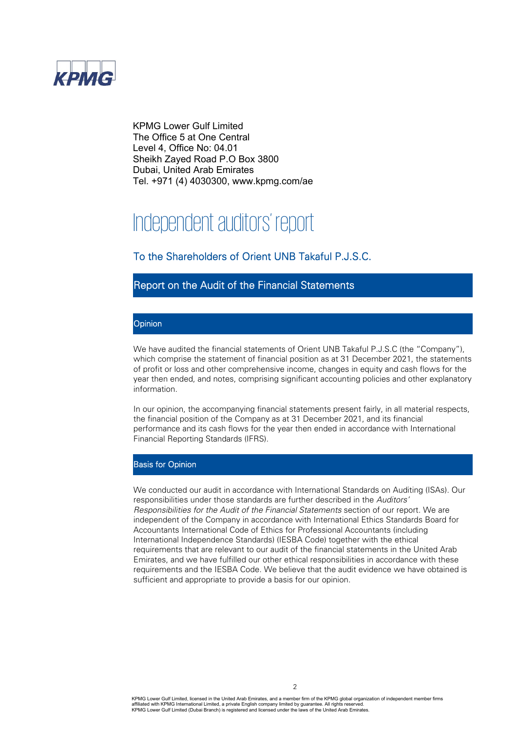

KPMG Lower Gulf Limited The Office 5 at One Central Level 4, Office No: 04.01 Sheikh Zayed Road P.O Box 3800 Dubai, United Arab Emirates Tel. +971 (4) 4030300, www.kpmg.com/ae

# Independent auditors' report

# To the Shareholders of Orient UNB Takaful P.J.S.C.

# Report on the Audit of the Financial Statements

### **Opinion**

We have audited the financial statements of Orient UNB Takaful P.J.S.C (the "Company"), which comprise the statement of financial position as at 31 December 2021, the statements of profit or loss and other comprehensive income, changes in equity and cash flows for the year then ended, and notes, comprising significant accounting policies and other explanatory information.

In our opinion, the accompanying financial statements present fairly, in all material respects, the financial position of the Company as at 31 December 2021, and its financial performance and its cash flows for the year then ended in accordance with International Financial Reporting Standards (IFRS).

### Basis for Opinion

We conducted our audit in accordance with International Standards on Auditing (ISAs). Our responsibilities under those standards are further described in the *Auditors' Responsibilities for the Audit of the Financial Statements* section of our report. We are independent of the Company in accordance with International Ethics Standards Board for Accountants International Code of Ethics for Professional Accountants (including International Independence Standards) (IESBA Code) together with the ethical requirements that are relevant to our audit of the financial statements in the United Arab Emirates, and we have fulfilled our other ethical responsibilities in accordance with these requirements and the IESBA Code. We believe that the audit evidence we have obtained is sufficient and appropriate to provide a basis for our opinion.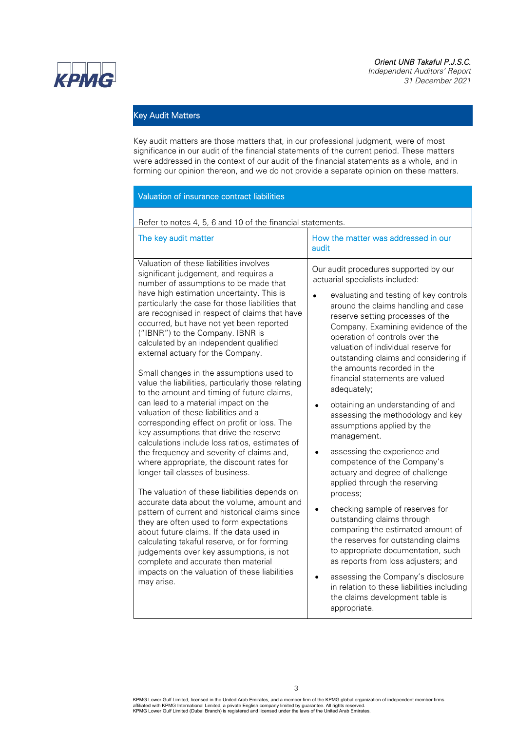**КРМG** 

*Independent Auditors' Report 31 December 2021* 

# Key Audit Matters

Key audit matters are those matters that, in our professional judgment, were of most significance in our audit of the financial statements of the current period. These matters were addressed in the context of our audit of the financial statements as a whole, and in forming our opinion thereon, and we do not provide a separate opinion on these matters.

| Refer to notes 4, 5, 6 and 10 of the financial statements.                                                                                                                                                                                                                                                                                                                                                                                                                                                                                                                                                                                                                                                                                                                                                                                                                                                                                                                                                                                                                                                                                                                                                                                                                                                                                                                                   |                                                                                                                                                                                                                                                                                                                                                                                                                                                                                                                                                                                                                                                                                                                                                                                                                                                                                                                                                                                                                                                                                            |
|----------------------------------------------------------------------------------------------------------------------------------------------------------------------------------------------------------------------------------------------------------------------------------------------------------------------------------------------------------------------------------------------------------------------------------------------------------------------------------------------------------------------------------------------------------------------------------------------------------------------------------------------------------------------------------------------------------------------------------------------------------------------------------------------------------------------------------------------------------------------------------------------------------------------------------------------------------------------------------------------------------------------------------------------------------------------------------------------------------------------------------------------------------------------------------------------------------------------------------------------------------------------------------------------------------------------------------------------------------------------------------------------|--------------------------------------------------------------------------------------------------------------------------------------------------------------------------------------------------------------------------------------------------------------------------------------------------------------------------------------------------------------------------------------------------------------------------------------------------------------------------------------------------------------------------------------------------------------------------------------------------------------------------------------------------------------------------------------------------------------------------------------------------------------------------------------------------------------------------------------------------------------------------------------------------------------------------------------------------------------------------------------------------------------------------------------------------------------------------------------------|
| The key audit matter                                                                                                                                                                                                                                                                                                                                                                                                                                                                                                                                                                                                                                                                                                                                                                                                                                                                                                                                                                                                                                                                                                                                                                                                                                                                                                                                                                         | How the matter was addressed in our<br>audit                                                                                                                                                                                                                                                                                                                                                                                                                                                                                                                                                                                                                                                                                                                                                                                                                                                                                                                                                                                                                                               |
| Valuation of these liabilities involves<br>significant judgement, and requires a<br>number of assumptions to be made that<br>have high estimation uncertainty. This is<br>particularly the case for those liabilities that<br>are recognised in respect of claims that have<br>occurred, but have not yet been reported<br>("IBNR") to the Company. IBNR is<br>calculated by an independent qualified<br>external actuary for the Company.<br>Small changes in the assumptions used to<br>value the liabilities, particularly those relating<br>to the amount and timing of future claims,<br>can lead to a material impact on the<br>valuation of these liabilities and a<br>corresponding effect on profit or loss. The<br>key assumptions that drive the reserve<br>calculations include loss ratios, estimates of<br>the frequency and severity of claims and,<br>where appropriate, the discount rates for<br>longer tail classes of business.<br>The valuation of these liabilities depends on<br>accurate data about the volume, amount and<br>pattern of current and historical claims since<br>they are often used to form expectations<br>about future claims. If the data used in<br>calculating takaful reserve, or for forming<br>judgements over key assumptions, is not<br>complete and accurate then material<br>impacts on the valuation of these liabilities<br>may arise. | Our audit procedures supported by our<br>actuarial specialists included:<br>evaluating and testing of key controls<br>around the claims handling and case<br>reserve setting processes of the<br>Company. Examining evidence of the<br>operation of controls over the<br>valuation of individual reserve for<br>outstanding claims and considering if<br>the amounts recorded in the<br>financial statements are valued<br>adequately;<br>obtaining an understanding of and<br>assessing the methodology and key<br>assumptions applied by the<br>management.<br>assessing the experience and<br>competence of the Company's<br>actuary and degree of challenge<br>applied through the reserving<br>process;<br>checking sample of reserves for<br>outstanding claims through<br>comparing the estimated amount of<br>the reserves for outstanding claims<br>to appropriate documentation, such<br>as reports from loss adjusters; and<br>assessing the Company's disclosure<br>$\bullet$<br>in relation to these liabilities including<br>the claims development table is<br>appropriate. |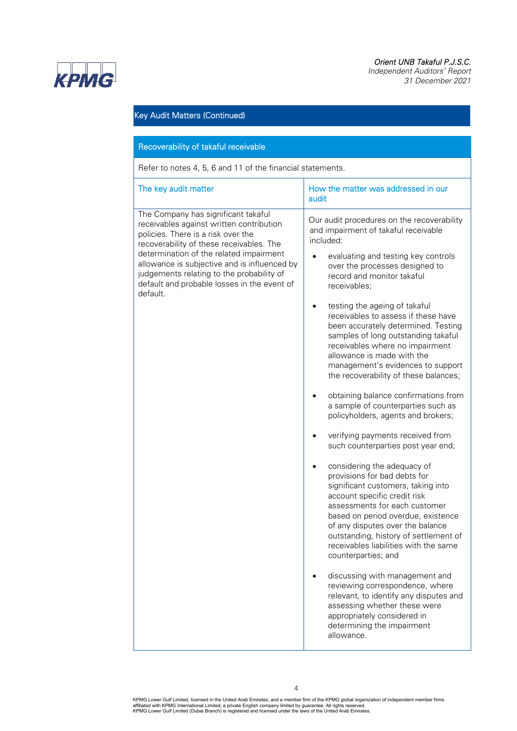

*Independent Auditors' Report 31 December 2021* 



# Key Audit Matters (Continued)

### Recoverability of takaful receivable

Refer to notes 4, 5, 6 and 11 of the financial statements.

| The key audit matter                                                                                                                                                                                                                                                                                                                                                 | How the matter was addressed in our<br>audit                                                                                                                                                                                                                                                                                                                                                                                                                                                                                                                                                                                                                                                                                                                                                                                                                                                                                                                                                                                                                                                                                                                                                                                                                                                                 |
|----------------------------------------------------------------------------------------------------------------------------------------------------------------------------------------------------------------------------------------------------------------------------------------------------------------------------------------------------------------------|--------------------------------------------------------------------------------------------------------------------------------------------------------------------------------------------------------------------------------------------------------------------------------------------------------------------------------------------------------------------------------------------------------------------------------------------------------------------------------------------------------------------------------------------------------------------------------------------------------------------------------------------------------------------------------------------------------------------------------------------------------------------------------------------------------------------------------------------------------------------------------------------------------------------------------------------------------------------------------------------------------------------------------------------------------------------------------------------------------------------------------------------------------------------------------------------------------------------------------------------------------------------------------------------------------------|
| The Company has significant takaful<br>receivables against written contribution<br>policies. There is a risk over the<br>recoverability of these receivables. The<br>determination of the related impairment<br>allowance is subjective and is influenced by<br>judgements relating to the probability of<br>default and probable losses in the event of<br>default. | Our audit procedures on the recoverability<br>and impairment of takaful receivable<br>included:<br>evaluating and testing key controls<br>over the processes designed to<br>record and monitor takaful<br>receivables;<br>testing the ageing of takaful<br>receivables to assess if these have<br>been accurately determined. Testing<br>samples of long outstanding takaful<br>receivables where no impairment<br>allowance is made with the<br>management's evidences to support<br>the recoverability of these balances;<br>obtaining balance confirmations from<br>a sample of counterparties such as<br>policyholders, agents and brokers;<br>verifying payments received from<br>such counterparties post year end;<br>considering the adequacy of<br>provisions for bad debts for<br>significant customers, taking into<br>account specific credit risk<br>assessments for each customer<br>based on period overdue, existence<br>of any disputes over the balance<br>outstanding, history of settlement of<br>receivables liabilities with the same<br>counterparties; and<br>discussing with management and<br>reviewing correspondence, where<br>relevant, to identify any disputes and<br>assessing whether these were<br>appropriately considered in<br>determining the impairment<br>allowance. |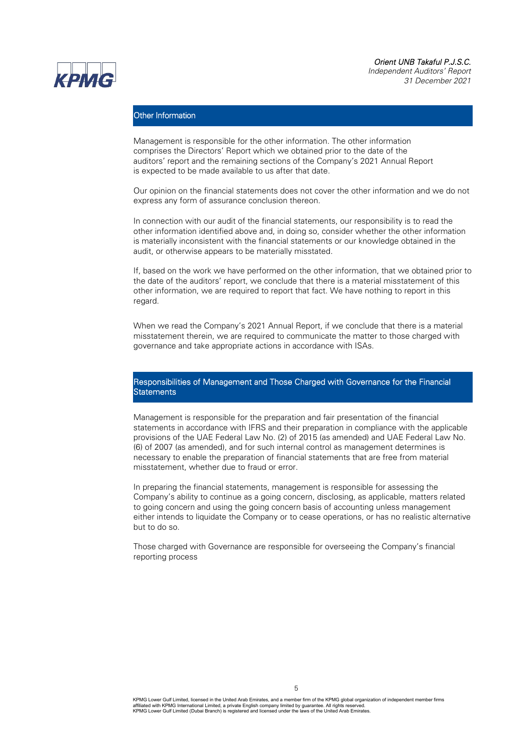*Independent Auditors' Report 31 December 2021* 



### Other Information

Management is responsible for the other information. The other information comprises the Directors' Report which we obtained prior to the date of the auditors' report and the remaining sections of the Company's 2021 Annual Report is expected to be made available to us after that date.

Our opinion on the financial statements does not cover the other information and we do not express any form of assurance conclusion thereon.

In connection with our audit of the financial statements, our responsibility is to read the other information identified above and, in doing so, consider whether the other information is materially inconsistent with the financial statements or our knowledge obtained in the audit, or otherwise appears to be materially misstated.

If, based on the work we have performed on the other information, that we obtained prior to the date of the auditors' report, we conclude that there is a material misstatement of this other information, we are required to report that fact. We have nothing to report in this regard.

When we read the Company's 2021 Annual Report, if we conclude that there is a material misstatement therein, we are required to communicate the matter to those charged with governance and take appropriate actions in accordance with ISAs.

### Responsibilities of Management and Those Charged with Governance for the Financial **Statements**

Management is responsible for the preparation and fair presentation of the financial statements in accordance with IFRS and their preparation in compliance with the applicable provisions of the UAE Federal Law No. (2) of 2015 (as amended) and UAE Federal Law No. (6) of 2007 (as amended), and for such internal control as management determines is necessary to enable the preparation of financial statements that are free from material misstatement, whether due to fraud or error.

In preparing the financial statements, management is responsible for assessing the Company's ability to continue as a going concern, disclosing, as applicable, matters related to going concern and using the going concern basis of accounting unless management either intends to liquidate the Company or to cease operations, or has no realistic alternative but to do so.

Those charged with Governance are responsible for overseeing the Company's financial reporting process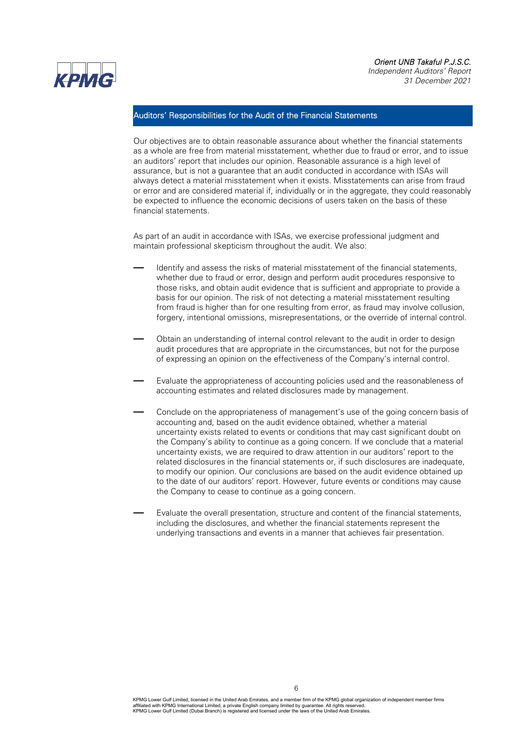### *Orient UNB Takaful P.J.S.C. Independent Auditors' Report*

*31 December 2021* 



### Auditors' Responsibilities for the Audit of the Financial Statements

Our objectives are to obtain reasonable assurance about whether the financial statements as a whole are free from material misstatement, whether due to fraud or error, and to issue an auditors' report that includes our opinion. Reasonable assurance is a high level of assurance, but is not a guarantee that an audit conducted in accordance with ISAs will always detect a material misstatement when it exists. Misstatements can arise from fraud or error and are considered material if, individually or in the aggregate, they could reasonably be expected to influence the economic decisions of users taken on the basis of these financial statements.

As part of an audit in accordance with ISAs, we exercise professional judgment and maintain professional skepticism throughout the audit. We also:

- Identify and assess the risks of material misstatement of the financial statements, whether due to fraud or error, design and perform audit procedures responsive to those risks, and obtain audit evidence that is sufficient and appropriate to provide a basis for our opinion. The risk of not detecting a material misstatement resulting from fraud is higher than for one resulting from error, as fraud may involve collusion, forgery, intentional omissions, misrepresentations, or the override of internal control.
- Obtain an understanding of internal control relevant to the audit in order to design audit procedures that are appropriate in the circumstances, but not for the purpose of expressing an opinion on the effectiveness of the Company's internal control.
- Evaluate the appropriateness of accounting policies used and the reasonableness of accounting estimates and related disclosures made by management.
- Conclude on the appropriateness of management's use of the going concern basis of accounting and, based on the audit evidence obtained, whether a material uncertainty exists related to events or conditions that may cast significant doubt on the Company's ability to continue as a going concern. If we conclude that a material uncertainty exists, we are required to draw attention in our auditors' report to the related disclosures in the financial statements or, if such disclosures are inadequate, to modify our opinion. Our conclusions are based on the audit evidence obtained up to the date of our auditors' report. However, future events or conditions may cause the Company to cease to continue as a going concern.
- Evaluate the overall presentation, structure and content of the financial statements, including the disclosures, and whether the financial statements represent the underlying transactions and events in a manner that achieves fair presentation.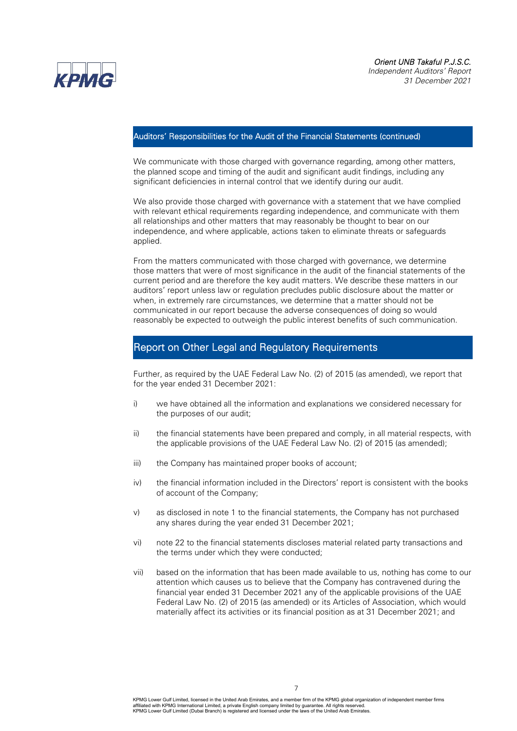

### Auditors' Responsibilities for the Audit of the Financial Statements (continued)

We communicate with those charged with governance regarding, among other matters, the planned scope and timing of the audit and significant audit findings, including any significant deficiencies in internal control that we identify during our audit.

We also provide those charged with governance with a statement that we have complied with relevant ethical requirements regarding independence, and communicate with them all relationships and other matters that may reasonably be thought to bear on our independence, and where applicable, actions taken to eliminate threats or safeguards applied.

From the matters communicated with those charged with governance, we determine those matters that were of most significance in the audit of the financial statements of the current period and are therefore the key audit matters. We describe these matters in our auditors' report unless law or regulation precludes public disclosure about the matter or when, in extremely rare circumstances, we determine that a matter should not be communicated in our report because the adverse consequences of doing so would reasonably be expected to outweigh the public interest benefits of such communication.

# Report on Other Legal and Regulatory Requirements

Further, as required by the UAE Federal Law No. (2) of 2015 (as amended), we report that for the year ended 31 December 2021:

- i) we have obtained all the information and explanations we considered necessary for the purposes of our audit;
- ii) the financial statements have been prepared and comply, in all material respects, with the applicable provisions of the UAE Federal Law No. (2) of 2015 (as amended);
- iii) the Company has maintained proper books of account;
- iv) the financial information included in the Directors' report is consistent with the books of account of the Company;
- v) as disclosed in note 1 to the financial statements, the Company has not purchased any shares during the year ended 31 December 2021;
- vi) note 22 to the financial statements discloses material related party transactions and the terms under which they were conducted;
- vii) based on the information that has been made available to us, nothing has come to our attention which causes us to believe that the Company has contravened during the financial year ended 31 December 2021 any of the applicable provisions of the UAE Federal Law No. (2) of 2015 (as amended) or its Articles of Association, which would materially affect its activities or its financial position as at 31 December 2021; and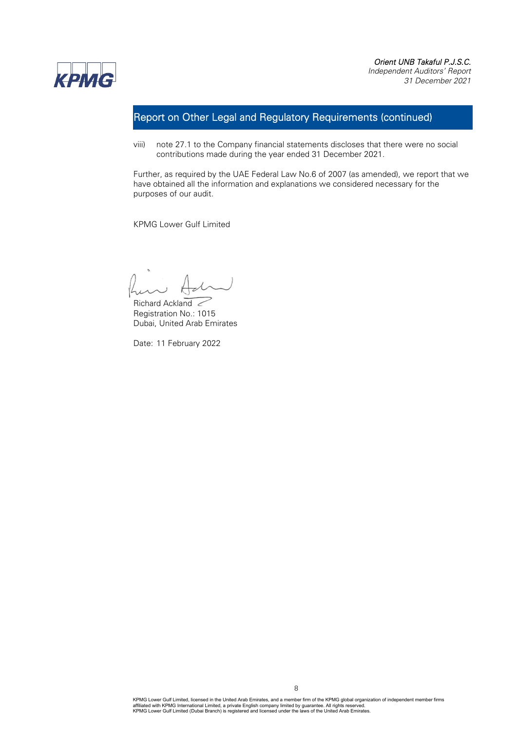

# Report on Other Legal and Regulatory Requirements (continued)

viii) note 27.1 to the Company financial statements discloses that there were no social contributions made during the year ended 31 December 2021.

Further, as required by the UAE Federal Law No.6 of 2007 (as amended), we report that we have obtained all the information and explanations we considered necessary for the purposes of our audit.

KPMG Lower Gulf Limited

Richard Ackland Registration No.: 1015 Dubai, United Arab Emirates

Date: 11 February 2022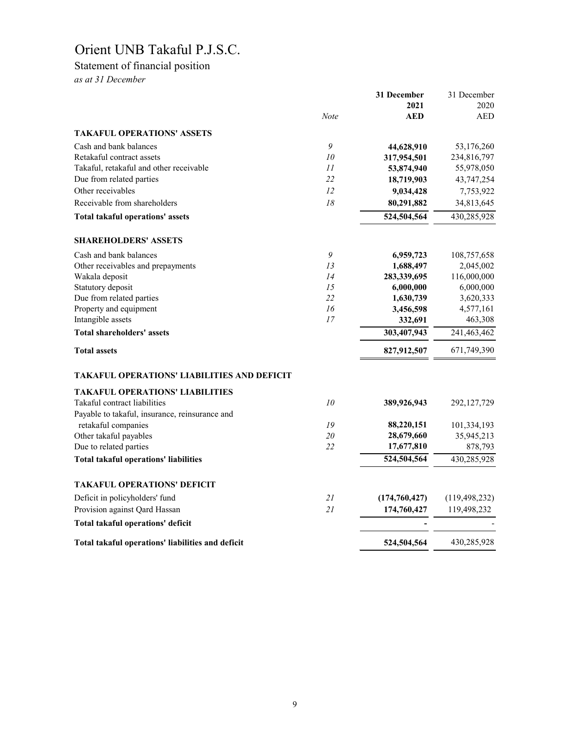# Statement of financial position

*as at 31 December*

|                                                    | <b>Note</b> | 31 December<br>2021<br><b>AED</b> | 31 December<br>2020<br><b>AED</b> |
|----------------------------------------------------|-------------|-----------------------------------|-----------------------------------|
| <b>TAKAFUL OPERATIONS' ASSETS</b>                  |             |                                   |                                   |
| Cash and bank balances                             | 9           |                                   |                                   |
| Retakaful contract assets                          | 10          | 44,628,910<br>317,954,501         | 53,176,260<br>234,816,797         |
| Takaful, retakaful and other receivable            | 11          | 53,874,940                        | 55,978,050                        |
| Due from related parties                           | 22          | 18,719,903                        | 43,747,254                        |
| Other receivables                                  | 12          | 9,034,428                         | 7,753,922                         |
| Receivable from shareholders                       | 18          | 80,291,882                        | 34,813,645                        |
| <b>Total takaful operations' assets</b>            |             | 524,504,564                       | 430,285,928                       |
| <b>SHAREHOLDERS' ASSETS</b>                        |             |                                   |                                   |
| Cash and bank balances                             | 9           | 6,959,723                         | 108,757,658                       |
| Other receivables and prepayments                  | 13          | 1,688,497                         | 2,045,002                         |
| Wakala deposit                                     | 14          | 283,339,695                       | 116,000,000                       |
| Statutory deposit                                  | 15          | 6,000,000                         | 6,000,000                         |
| Due from related parties                           | 22          | 1,630,739                         | 3,620,333                         |
| Property and equipment                             | 16          | 3,456,598                         | 4,577,161                         |
| Intangible assets                                  | 17          | 332,691                           | 463,308                           |
| <b>Total shareholders' assets</b>                  |             | 303,407,943                       | 241,463,462                       |
| <b>Total assets</b>                                |             | 827,912,507                       | 671,749,390                       |
| <b>TAKAFUL OPERATIONS' LIABILITIES AND DEFICIT</b> |             |                                   |                                   |
| <b>TAKAFUL OPERATIONS' LIABILITIES</b>             |             |                                   |                                   |
| Takaful contract liabilities                       | 10          | 389,926,943                       | 292,127,729                       |
| Payable to takaful, insurance, reinsurance and     |             |                                   |                                   |
| retakaful companies                                | 19          | 88,220,151                        | 101,334,193                       |
| Other takaful payables                             | 20          | 28,679,660                        | 35,945,213                        |
| Due to related parties                             | 22          | 17,677,810                        | 878,793                           |
| <b>Total takaful operations' liabilities</b>       |             | 524,504,564                       | 430,285,928                       |
| <b>TAKAFUL OPERATIONS' DEFICIT</b>                 |             |                                   |                                   |
| Deficit in policyholders' fund                     | 21          | (174,760,427)                     | (119, 498, 232)                   |
| Provision against Qard Hassan                      | 21          | 174,760,427                       | 119,498,232                       |
| Total takaful operations' deficit                  |             |                                   |                                   |
| Total takaful operations' liabilities and deficit  |             | 524,504,564                       | 430,285,928                       |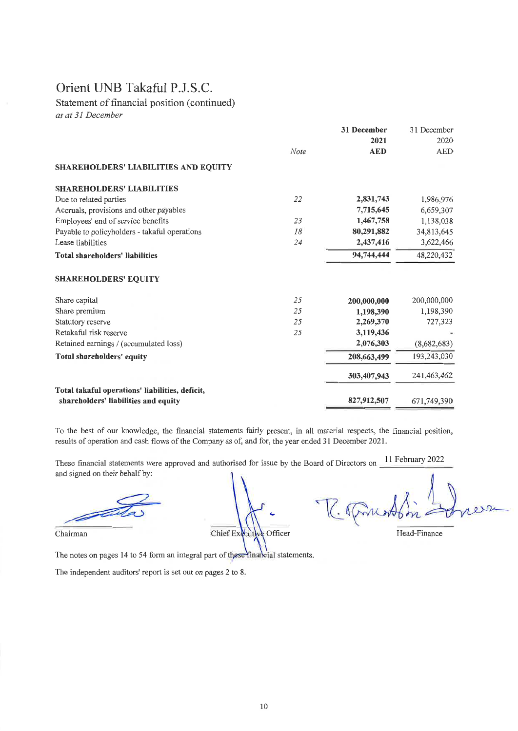Statement of financial position (continued)

as at 31 December

|                                                 |      | 31 December | 31 December |
|-------------------------------------------------|------|-------------|-------------|
|                                                 |      | 2021        | 2020        |
|                                                 | Note | <b>AED</b>  | <b>AED</b>  |
| SHAREHOLDERS' LIABILITIES AND EQUITY            |      |             |             |
| <b>SHAREHOLDERS' LIABILITIES</b>                |      |             |             |
| Due to related parties                          | 22   | 2,831,743   | 1,986,976   |
| Accruals, provisions and other payables         |      | 7,715,645   | 6,659,307   |
| Employees' end of service benefits              | 23   | 1,467,758   | 1,138,038   |
| Payable to policyholders - takaful operations   | 18   | 80,291,882  | 34,813,645  |
| Lease liabilities                               | 24   | 2,437,416   | 3,622,466   |
| Total shareholders' liabilities                 |      | 94,744,444  | 48,220,432  |
| <b>SHAREHOLDERS' EQUITY</b>                     |      |             |             |
| Share capital                                   | 25   | 200,000,000 | 200,000,000 |
| Share premium                                   | 25   | 1,198,390   | 1,198,390   |
| Statutory reserve                               | 25   | 2,269,370   | 727,323     |
| Retakaful risk reserve                          | 25   | 3,119,436   |             |
| Retained earnings / (accumulated loss)          |      | 2,076,303   | (8,682,683) |
| Total shareholders' equity                      |      | 208,663,499 | 193,243,030 |
|                                                 |      | 303,407,943 | 241,463,462 |
| Total takaful operations' liabilities, deficit, |      |             |             |
| shareholders' liabilities and equity            |      | 827,912,507 | 671,749,390 |

To the best of our knowledge, the financial statements fairly present, in all material respects, the financial position, results of operation and cash flows of the Company as of, and for, the year ended 31 December 2021.

These financial statements were approved and authorised for issue by the Board of Directors on 11 February 2022 and signed on their behalf by:

Chairman

Chief Executive Officer

Head-Finance

The notes on pages 14 to 54 form an integral part of these linarcial statements.

The independent auditors' report is set out on pages 2 to 8.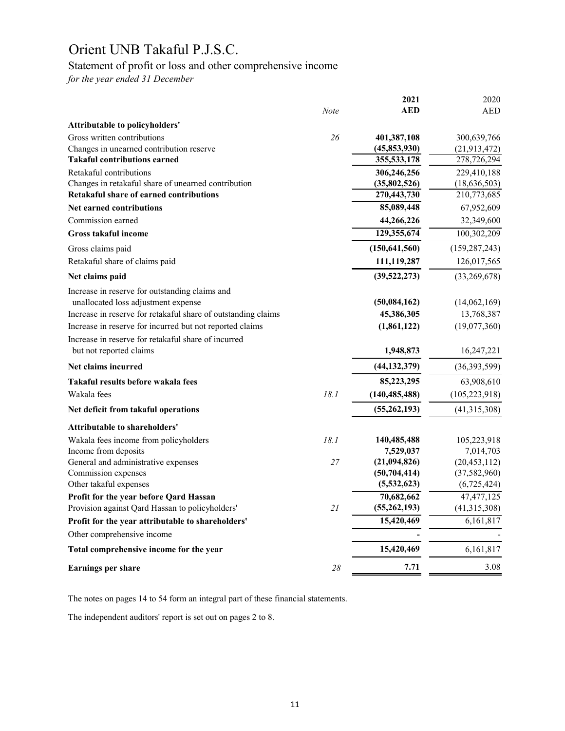# Statement of profit or loss and other comprehensive income

*for the year ended 31 December*

|                                                               |             | 2021            | 2020            |
|---------------------------------------------------------------|-------------|-----------------|-----------------|
|                                                               | <b>Note</b> | <b>AED</b>      | <b>AED</b>      |
| <b>Attributable to policyholders'</b>                         |             |                 |                 |
| Gross written contributions                                   | 26          | 401,387,108     | 300,639,766     |
| Changes in unearned contribution reserve                      |             | (45, 853, 930)  | (21, 913, 472)  |
| <b>Takaful contributions earned</b>                           |             | 355,533,178     | 278,726,294     |
| Retakaful contributions                                       |             | 306,246,256     | 229,410,188     |
| Changes in retakaful share of unearned contribution           |             | (35,802,526)    | (18, 636, 503)  |
| <b>Retakaful share of earned contributions</b>                |             | 270,443,730     | 210,773,685     |
| <b>Net earned contributions</b>                               |             | 85,089,448      | 67,952,609      |
| Commission earned                                             |             | 44,266,226      | 32,349,600      |
| <b>Gross takaful income</b>                                   |             | 129,355,674     | 100,302,209     |
| Gross claims paid                                             |             | (150, 641, 560) | (159, 287, 243) |
| Retakaful share of claims paid                                |             | 111,119,287     | 126,017,565     |
| Net claims paid                                               |             | (39,522,273)    | (33,269,678)    |
| Increase in reserve for outstanding claims and                |             |                 |                 |
| unallocated loss adjustment expense                           |             | (50,084,162)    | (14,062,169)    |
| Increase in reserve for retakaful share of outstanding claims |             | 45,386,305      | 13,768,387      |
| Increase in reserve for incurred but not reported claims      |             | (1,861,122)     | (19,077,360)    |
| Increase in reserve for retakaful share of incurred           |             |                 |                 |
| but not reported claims                                       |             | 1,948,873       | 16,247,221      |
| Net claims incurred                                           |             | (44, 132, 379)  | (36,393,599)    |
| Takaful results before wakala fees                            |             | 85,223,295      | 63,908,610      |
| Wakala fees                                                   | 18.1        | (140, 485, 488) | (105, 223, 918) |
| Net deficit from takaful operations                           |             | (55, 262, 193)  | (41,315,308)    |
| <b>Attributable to shareholders'</b>                          |             |                 |                 |
| Wakala fees income from policyholders                         | 18.1        | 140,485,488     | 105,223,918     |
| Income from deposits                                          |             | 7,529,037       | 7,014,703       |
| General and administrative expenses                           | 27          | (21,094,826)    | (20, 453, 112)  |
| Commission expenses                                           |             | (50, 704, 414)  | (37, 582, 960)  |
| Other takaful expenses                                        |             | (5,532,623)     | (6,725,424)     |
| Profit for the year before Qard Hassan                        |             | 70,682,662      | 47, 477, 125    |
| Provision against Qard Hassan to policyholders'               | 21          | (55, 262, 193)  | (41,315,308)    |
| Profit for the year attributable to shareholders'             |             | 15,420,469      | 6,161,817       |
| Other comprehensive income                                    |             |                 |                 |
| Total comprehensive income for the year                       |             | 15,420,469      | 6,161,817       |
| <b>Earnings per share</b>                                     | 28          | 7.71            | 3.08            |
|                                                               |             |                 |                 |

The notes on pages 14 to 54 form an integral part of these financial statements.

The independent auditors' report is set out on pages 2 to 8.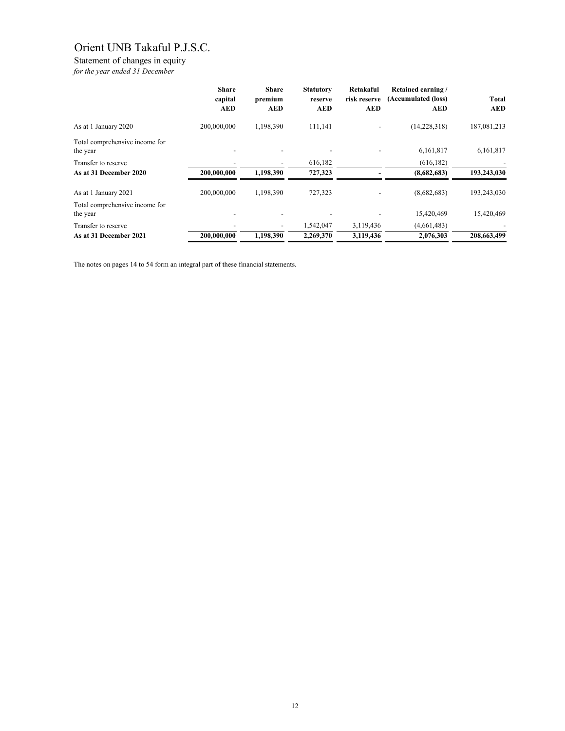# Statement of changes in equity

*for the year ended 31 December*

|                                            | <b>Share</b><br>capital<br><b>AED</b> | <b>Share</b><br>premium<br><b>AED</b> | <b>Statutory</b><br>reserve<br><b>AED</b> | Retakaful<br>risk reserve<br><b>AED</b> | <b>Retained earning/</b><br>(Accumulated (loss)<br><b>AED</b> | <b>Total</b><br><b>AED</b> |
|--------------------------------------------|---------------------------------------|---------------------------------------|-------------------------------------------|-----------------------------------------|---------------------------------------------------------------|----------------------------|
| As at 1 January 2020                       | 200,000,000                           | 1,198,390                             | 111,141                                   |                                         | (14,228,318)                                                  | 187,081,213                |
| Total comprehensive income for<br>the year |                                       |                                       |                                           |                                         | 6,161,817                                                     | 6,161,817                  |
| Transfer to reserve                        |                                       |                                       | 616,182                                   |                                         | (616, 182)                                                    |                            |
| As at 31 December 2020                     | 200,000,000                           | 1,198,390                             | 727,323                                   |                                         | (8,682,683)                                                   | 193,243,030                |
| As at 1 January 2021                       | 200,000,000                           | 1,198,390                             | 727,323                                   |                                         | (8,682,683)                                                   | 193,243,030                |
| Total comprehensive income for<br>the year |                                       |                                       |                                           |                                         | 15,420,469                                                    | 15,420,469                 |
| Transfer to reserve                        |                                       | -                                     | 1,542,047                                 | 3,119,436                               | (4,661,483)                                                   |                            |
| As at 31 December 2021                     | 200,000,000                           | 1,198,390                             | 2,269,370                                 | 3,119,436                               | 2,076,303                                                     | 208,663,499                |

The notes on pages 14 to 54 form an integral part of these financial statements.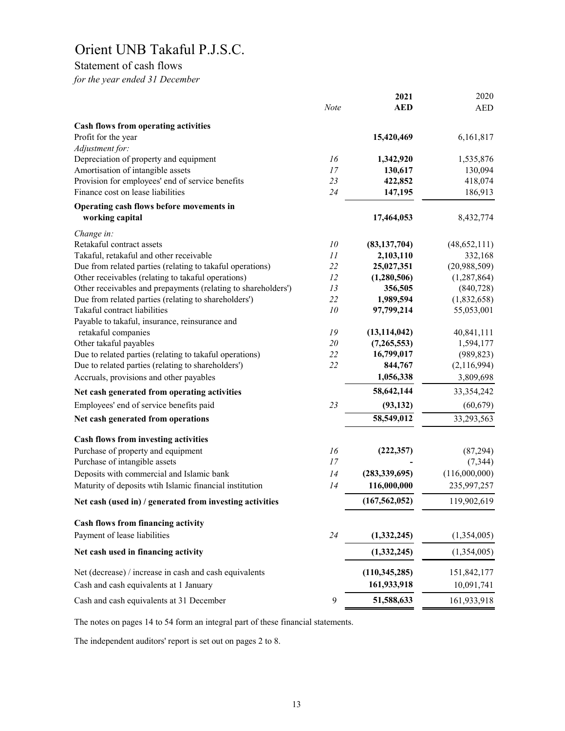# Statement of cash flows

*for the year ended 31 December*

|                                                               |             | 2021            | 2020          |
|---------------------------------------------------------------|-------------|-----------------|---------------|
|                                                               | <b>Note</b> | <b>AED</b>      | <b>AED</b>    |
| <b>Cash flows from operating activities</b>                   |             |                 |               |
| Profit for the year                                           |             | 15,420,469      | 6,161,817     |
| Adjustment for:                                               |             |                 |               |
| Depreciation of property and equipment                        | 16          | 1,342,920       | 1,535,876     |
| Amortisation of intangible assets                             | 17          | 130,617         | 130,094       |
| Provision for employees' end of service benefits              | 23          | 422,852         | 418,074       |
| Finance cost on lease liabilities                             | 24          | 147,195         | 186,913       |
| Operating cash flows before movements in                      |             |                 |               |
| working capital                                               |             | 17,464,053      | 8,432,774     |
| Change in:                                                    |             |                 |               |
| Retakaful contract assets                                     | 10          | (83, 137, 704)  | (48,652,111)  |
| Takaful, retakaful and other receivable                       | 11          | 2,103,110       | 332,168       |
| Due from related parties (relating to takaful operations)     | 22          | 25,027,351      | (20,988,509)  |
| Other receivables (relating to takaful operations)            | 12          | (1,280,506)     | (1, 287, 864) |
| Other receivables and prepayments (relating to shareholders') | 13          | 356,505         | (840, 728)    |
| Due from related parties (relating to shareholders')          | 22          | 1,989,594       | (1,832,658)   |
| Takaful contract liabilities                                  | 10          | 97,799,214      | 55,053,001    |
| Payable to takaful, insurance, reinsurance and                |             |                 |               |
| retakaful companies                                           | 19          | (13, 114, 042)  | 40,841,111    |
| Other takaful payables                                        | 20          | (7,265,553)     | 1,594,177     |
| Due to related parties (relating to takaful operations)       | 22          | 16,799,017      | (989, 823)    |
| Due to related parties (relating to shareholders')            | 22          | 844,767         | (2,116,994)   |
| Accruals, provisions and other payables                       |             | 1,056,338       | 3,809,698     |
| Net cash generated from operating activities                  |             | 58,642,144      | 33, 354, 242  |
| Employees' end of service benefits paid                       | 23          | (93, 132)       | (60, 679)     |
| Net cash generated from operations                            |             | 58,549,012      | 33,293,563    |
| <b>Cash flows from investing activities</b>                   |             |                 |               |
| Purchase of property and equipment                            | 16          | (222, 357)      | (87, 294)     |
| Purchase of intangible assets                                 | 17          |                 | (7, 344)      |
| Deposits with commercial and Islamic bank                     | 14          | (283, 339, 695) | (116,000,000) |
| Maturity of deposits wtih Islamic financial institution       | 14          | 116,000,000     | 235,997,257   |
| Net cash (used in) / generated from investing activities      |             | (167, 562, 052) | 119,902,619   |
| Cash flows from financing activity                            |             |                 |               |
|                                                               |             |                 |               |
| Payment of lease liabilities                                  | 24          | (1,332,245)     | (1,354,005)   |
| Net cash used in financing activity                           |             | (1,332,245)     | (1,354,005)   |
| Net (decrease) / increase in cash and cash equivalents        |             | (110, 345, 285) | 151,842,177   |
| Cash and cash equivalents at 1 January                        |             | 161,933,918     | 10,091,741    |
| Cash and cash equivalents at 31 December                      | 9           | 51,588,633      | 161,933,918   |
|                                                               |             |                 |               |

The notes on pages 14 to 54 form an integral part of these financial statements.

The independent auditors' report is set out on pages 2 to 8.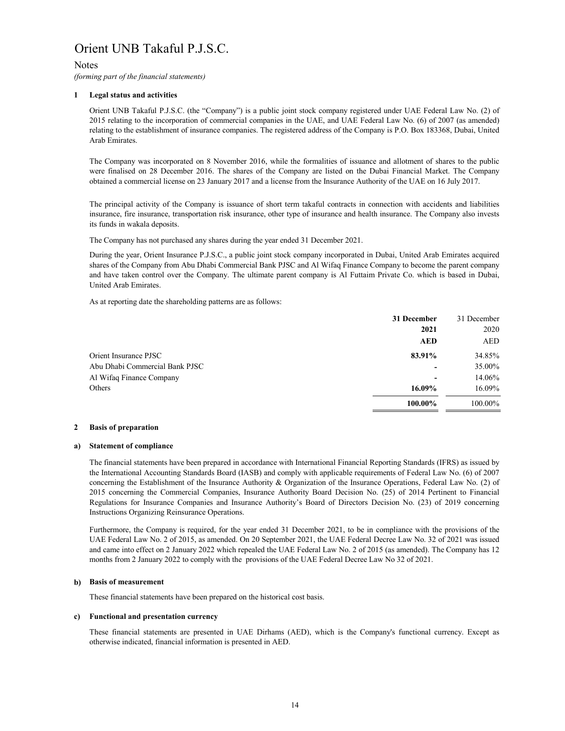# Notes

*(forming part of the financial statements)*

# **1 Legal status and activities**

Orient UNB Takaful P.J.S.C. (the "Company") is a public joint stock company registered under UAE Federal Law No. (2) of 2015 relating to the incorporation of commercial companies in the UAE, and UAE Federal Law No. (6) of 2007 (as amended) relating to the establishment of insurance companies. The registered address of the Company is P.O. Box 183368, Dubai, United Arab Emirates.

The Company was incorporated on 8 November 2016, while the formalities of issuance and allotment of shares to the public were finalised on 28 December 2016. The shares of the Company are listed on the Dubai Financial Market. The Company obtained a commercial license on 23 January 2017 and a license from the Insurance Authority of the UAE on 16 July 2017.

The principal activity of the Company is issuance of short term takaful contracts in connection with accidents and liabilities insurance, fire insurance, transportation risk insurance, other type of insurance and health insurance. The Company also invests its funds in wakala deposits.

The Company has not purchased any shares during the year ended 31 December 2021.

During the year, Orient Insurance P.J.S.C., a public joint stock company incorporated in Dubai, United Arab Emirates acquired shares of the Company from Abu Dhabi Commercial Bank PJSC and Al Wifaq Finance Company to become the parent company and have taken control over the Company. The ultimate parent company is Al Futtaim Private Co. which is based in Dubai, United Arab Emirates.

As at reporting date the shareholding patterns are as follows:

|                                | 31 December              | 31 December |
|--------------------------------|--------------------------|-------------|
|                                | 2021                     | 2020        |
|                                | <b>AED</b>               | <b>AED</b>  |
| Orient Insurance PJSC          | 83.91%                   | 34.85%      |
| Abu Dhabi Commercial Bank PJSC |                          | 35.00%      |
| Al Wifaq Finance Company       | $\overline{\phantom{0}}$ | 14.06%      |
| Others                         | 16.09%                   | 16.09%      |
|                                | 100.00%                  | 100.00%     |
|                                |                          |             |

### **2 Basis of preparation**

## **a) Statement of compliance**

The financial statements have been prepared in accordance with International Financial Reporting Standards (IFRS) as issued by the International Accounting Standards Board (IASB) and comply with applicable requirements of Federal Law No. (6) of 2007 concerning the Establishment of the Insurance Authority & Organization of the Insurance Operations, Federal Law No. (2) of 2015 concerning the Commercial Companies, Insurance Authority Board Decision No. (25) of 2014 Pertinent to Financial Regulations for Insurance Companies and Insurance Authority's Board of Directors Decision No. (23) of 2019 concerning Instructions Organizing Reinsurance Operations.

Furthermore, the Company is required, for the year ended 31 December 2021, to be in compliance with the provisions of the UAE Federal Law No. 2 of 2015, as amended. On 20 September 2021, the UAE Federal Decree Law No. 32 of 2021 was issued and came into effect on 2 January 2022 which repealed the UAE Federal Law No. 2 of 2015 (as amended). The Company has 12 months from 2 January 2022 to comply with the provisions of the UAE Federal Decree Law No 32 of 2021.

### **b) Basis of measurement**

These financial statements have been prepared on the historical cost basis.

### **c) Functional and presentation currency**

These financial statements are presented in UAE Dirhams (AED), which is the Company's functional currency. Except as otherwise indicated, financial information is presented in AED.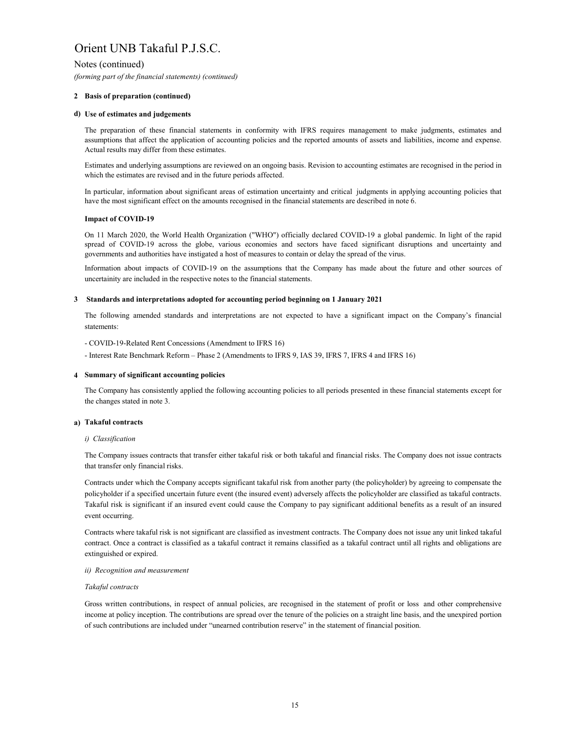Notes (continued)

*(forming part of the financial statements) (continued)*

# **2 Basis of preparation (continued)**

# **d) Use of estimates and judgements**

The preparation of these financial statements in conformity with IFRS requires management to make judgments, estimates and assumptions that affect the application of accounting policies and the reported amounts of assets and liabilities, income and expense. Actual results may differ from these estimates.

Estimates and underlying assumptions are reviewed on an ongoing basis. Revision to accounting estimates are recognised in the period in which the estimates are revised and in the future periods affected.

In particular, information about significant areas of estimation uncertainty and critical judgments in applying accounting policies that have the most significant effect on the amounts recognised in the financial statements are described in note 6.

# **Impact of COVID-19**

On 11 March 2020, the World Health Organization ("WHO") officially declared COVID-19 a global pandemic. In light of the rapid spread of COVID-19 across the globe, various economies and sectors have faced significant disruptions and uncertainty and governments and authorities have instigated a host of measures to contain or delay the spread of the virus.

Information about impacts of COVID-19 on the assumptions that the Company has made about the future and other sources of uncertainity are included in the respective notes to the financial statements.

# **3 Standards and interpretations adopted for accounting period beginning on 1 January 2021**

The following amended standards and interpretations are not expected to have a significant impact on the Company's financial statements:

- COVID-19-Related Rent Concessions (Amendment to IFRS 16)
- Interest Rate Benchmark Reform Phase 2 (Amendments to IFRS 9, IAS 39, IFRS 7, IFRS 4 and IFRS 16)

# **4 Summary of significant accounting policies**

The Company has consistently applied the following accounting policies to all periods presented in these financial statements except for the changes stated in note 3.

# **a) Takaful contracts**

### *i) Classification*

The Company issues contracts that transfer either takaful risk or both takaful and financial risks. The Company does not issue contracts that transfer only financial risks.

Contracts under which the Company accepts significant takaful risk from another party (the policyholder) by agreeing to compensate the policyholder if a specified uncertain future event (the insured event) adversely affects the policyholder are classified as takaful contracts. Takaful risk is significant if an insured event could cause the Company to pay significant additional benefits as a result of an insured event occurring.

Contracts where takaful risk is not significant are classified as investment contracts. The Company does not issue any unit linked takaful contract. Once a contract is classified as a takaful contract it remains classified as a takaful contract until all rights and obligations are extinguished or expired.

# *ii) Recognition and measurement*

# *Takaful contracts*

Gross written contributions, in respect of annual policies, are recognised in the statement of profit or loss and other comprehensive income at policy inception. The contributions are spread over the tenure of the policies on a straight line basis, and the unexpired portion of such contributions are included under "unearned contribution reserve" in the statement of financial position.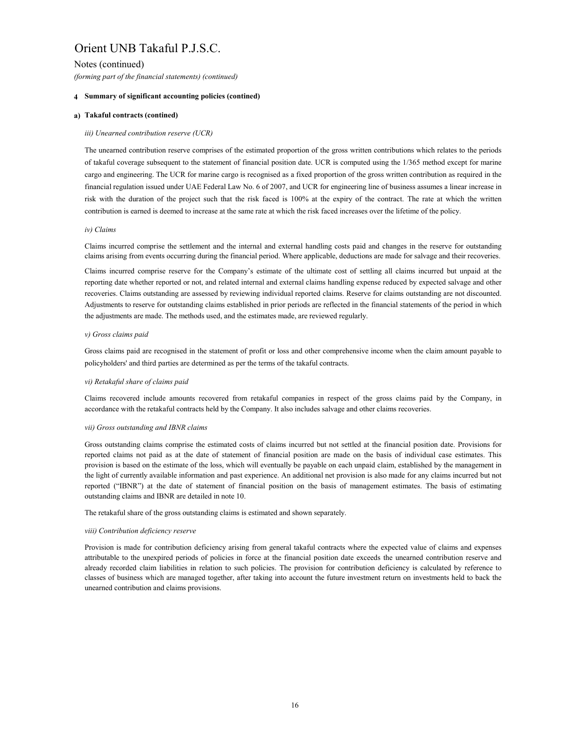Notes (continued)

# *(forming part of the financial statements) (continued)*

# **4 Summary of significant accounting policies (contined)**

# **a) Takaful contracts (contined)**

# *iii) Unearned contribution reserve (UCR)*

The unearned contribution reserve comprises of the estimated proportion of the gross written contributions which relates to the periods of takaful coverage subsequent to the statement of financial position date. UCR is computed using the 1/365 method except for marine cargo and engineering. The UCR for marine cargo is recognised as a fixed proportion of the gross written contribution as required in the financial regulation issued under UAE Federal Law No. 6 of 2007, and UCR for engineering line of business assumes a linear increase in risk with the duration of the project such that the risk faced is 100% at the expiry of the contract. The rate at which the written contribution is earned is deemed to increase at the same rate at which the risk faced increases over the lifetime of the policy.

# *iv) Claims*

Claims incurred comprise the settlement and the internal and external handling costs paid and changes in the reserve for outstanding claims arising from events occurring during the financial period. Where applicable, deductions are made for salvage and their recoveries.

Claims incurred comprise reserve for the Company's estimate of the ultimate cost of settling all claims incurred but unpaid at the reporting date whether reported or not, and related internal and external claims handling expense reduced by expected salvage and other recoveries. Claims outstanding are assessed by reviewing individual reported claims. Reserve for claims outstanding are not discounted. Adjustments to reserve for outstanding claims established in prior periods are reflected in the financial statements of the period in which the adjustments are made. The methods used, and the estimates made, are reviewed regularly.

## *v) Gross claims paid*

Gross claims paid are recognised in the statement of profit or loss and other comprehensive income when the claim amount payable to policyholders' and third parties are determined as per the terms of the takaful contracts.

# *vi) Retakaful share of claims paid*

Claims recovered include amounts recovered from retakaful companies in respect of the gross claims paid by the Company, in accordance with the retakaful contracts held by the Company. It also includes salvage and other claims recoveries.

### *vii) Gross outstanding and IBNR claims*

Gross outstanding claims comprise the estimated costs of claims incurred but not settled at the financial position date. Provisions for reported claims not paid as at the date of statement of financial position are made on the basis of individual case estimates. This provision is based on the estimate of the loss, which will eventually be payable on each unpaid claim, established by the management in the light of currently available information and past experience. An additional net provision is also made for any claims incurred but not reported ("IBNR") at the date of statement of financial position on the basis of management estimates. The basis of estimating outstanding claims and IBNR are detailed in note 10.

The retakaful share of the gross outstanding claims is estimated and shown separately.

# *viii) Contribution deficiency reserve*

Provision is made for contribution deficiency arising from general takaful contracts where the expected value of claims and expenses attributable to the unexpired periods of policies in force at the financial position date exceeds the unearned contribution reserve and already recorded claim liabilities in relation to such policies. The provision for contribution deficiency is calculated by reference to classes of business which are managed together, after taking into account the future investment return on investments held to back the unearned contribution and claims provisions.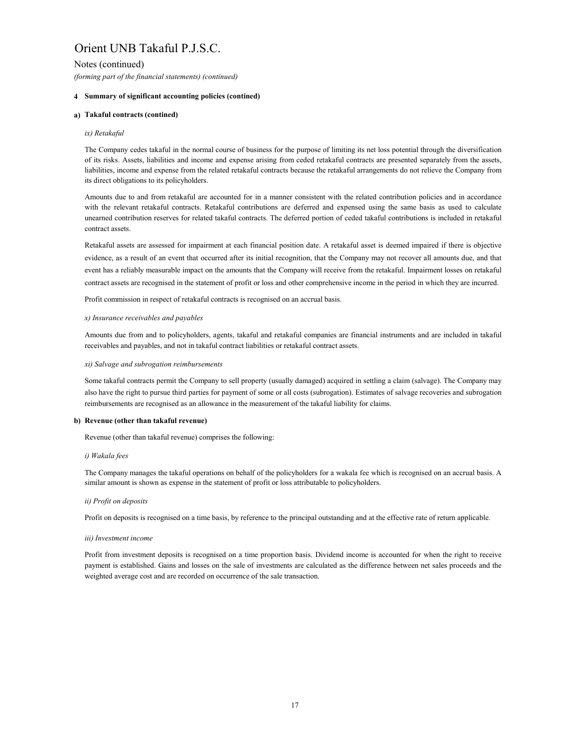Notes (continued)

*(forming part of the financial statements) (continued)*

# **4 Summary of significant accounting policies (contined)**

# **a) Takaful contracts (contined)**

# *ix) Retakaful*

The Company cedes takaful in the normal course of business for the purpose of limiting its net loss potential through the diversification of its risks. Assets, liabilities and income and expense arising from ceded retakaful contracts are presented separately from the assets, liabilities, income and expense from the related retakaful contracts because the retakaful arrangements do not relieve the Company from its direct obligations to its policyholders.

Amounts due to and from retakaful are accounted for in a manner consistent with the related contribution policies and in accordance with the relevant retakaful contracts. Retakaful contributions are deferred and expensed using the same basis as used to calculate unearned contribution reserves for related takaful contracts. The deferred portion of ceded takaful contributions is included in retakaful contract assets.

Retakaful assets are assessed for impairment at each financial position date. A retakaful asset is deemed impaired if there is objective evidence, as a result of an event that occurred after its initial recognition, that the Company may not recover all amounts due, and that event has a reliably measurable impact on the amounts that the Company will receive from the retakaful. Impairment losses on retakaful contract assets are recognised in the statement of profit or loss and other comprehensive income in the period in which they are incurred.

Profit commission in respect of retakaful contracts is recognised on an accrual basis.

## *x) Insurance receivables and payables*

Amounts due from and to policyholders, agents, takaful and retakaful companies are financial instruments and are included in takaful receivables and payables, and not in takaful contract liabilities or retakaful contract assets.

### *xi) Salvage and subrogation reimbursements*

Some takaful contracts permit the Company to sell property (usually damaged) acquired in settling a claim (salvage). The Company may also have the right to pursue third parties for payment of some or all costs (subrogation). Estimates of salvage recoveries and subrogation reimbursements are recognised as an allowance in the measurement of the takaful liability for claims.

## **b) Revenue (other than takaful revenue)**

Revenue (other than takaful revenue) comprises the following:

### *i) Wakala fees*

The Company manages the takaful operations on behalf of the policyholders for a wakala fee which is recognised on an accrual basis. A similar amount is shown as expense in the statement of profit or loss attributable to policyholders.

# *ii) Profit on deposits*

Profit on deposits is recognised on a time basis, by reference to the principal outstanding and at the effective rate of return applicable.

### *iii) Investment income*

Profit from investment deposits is recognised on a time proportion basis. Dividend income is accounted for when the right to receive payment is established. Gains and losses on the sale of investments are calculated as the difference between net sales proceeds and the weighted average cost and are recorded on occurrence of the sale transaction.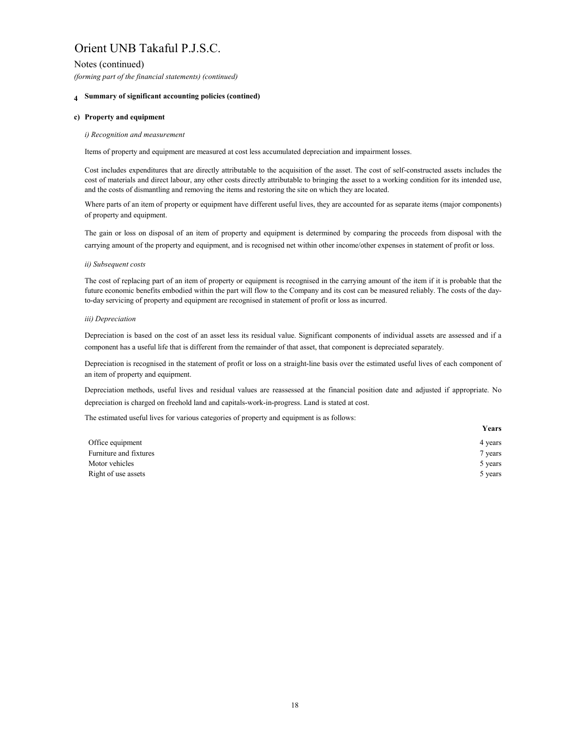Notes (continued)

*(forming part of the financial statements) (continued)*

# **4 Summary of significant accounting policies (contined)**

# **c) Property and equipment**

# *i) Recognition and measurement*

Items of property and equipment are measured at cost less accumulated depreciation and impairment losses.

Cost includes expenditures that are directly attributable to the acquisition of the asset. The cost of self-constructed assets includes the cost of materials and direct labour, any other costs directly attributable to bringing the asset to a working condition for its intended use, and the costs of dismantling and removing the items and restoring the site on which they are located.

Where parts of an item of property or equipment have different useful lives, they are accounted for as separate items (major components) of property and equipment.

The gain or loss on disposal of an item of property and equipment is determined by comparing the proceeds from disposal with the carrying amount of the property and equipment, and is recognised net within other income/other expenses in statement of profit or loss.

# *ii) Subsequent costs*

The cost of replacing part of an item of property or equipment is recognised in the carrying amount of the item if it is probable that the future economic benefits embodied within the part will flow to the Company and its cost can be measured reliably. The costs of the dayto-day servicing of property and equipment are recognised in statement of profit or loss as incurred.

# *iii) Depreciation*

Depreciation is based on the cost of an asset less its residual value. Significant components of individual assets are assessed and if a component has a useful life that is different from the remainder of that asset, that component is depreciated separately.

Depreciation is recognised in the statement of profit or loss on a straight-line basis over the estimated useful lives of each component of an item of property and equipment.

Depreciation methods, useful lives and residual values are reassessed at the financial position date and adjusted if appropriate. No depreciation is charged on freehold land and capitals-work-in-progress. Land is stated at cost.

The estimated useful lives for various categories of property and equipment is as follows:

|                        | Years   |
|------------------------|---------|
| Office equipment       | 4 years |
| Furniture and fixtures | 7 years |
| Motor vehicles         | 5 years |
| Right of use assets    | 5 years |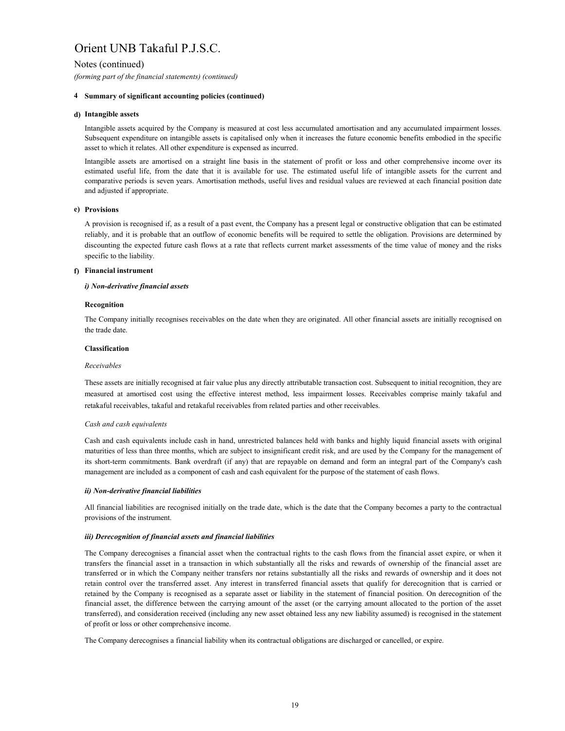Notes (continued)

*(forming part of the financial statements) (continued)*

# **4 Summary of significant accounting policies (continued)**

# **d) Intangible assets**

Intangible assets acquired by the Company is measured at cost less accumulated amortisation and any accumulated impairment losses. Subsequent expenditure on intangible assets is capitalised only when it increases the future economic benefits embodied in the specific asset to which it relates. All other expenditure is expensed as incurred.

Intangible assets are amortised on a straight line basis in the statement of profit or loss and other comprehensive income over its estimated useful life, from the date that it is available for use. The estimated useful life of intangible assets for the current and comparative periods is seven years. Amortisation methods, useful lives and residual values are reviewed at each financial position date and adjusted if appropriate.

# **e) Provisions**

A provision is recognised if, as a result of a past event, the Company has a present legal or constructive obligation that can be estimated reliably, and it is probable that an outflow of economic benefits will be required to settle the obligation. Provisions are determined by discounting the expected future cash flows at a rate that reflects current market assessments of the time value of money and the risks specific to the liability.

# **f) Financial instrument**

# *i) Non-derivative financial assets*

# **Recognition**

The Company initially recognises receivables on the date when they are originated. All other financial assets are initially recognised on the trade date.

# **Classification**

# *Receivables*

These assets are initially recognised at fair value plus any directly attributable transaction cost. Subsequent to initial recognition, they are measured at amortised cost using the effective interest method, less impairment losses. Receivables comprise mainly takaful and retakaful receivables, takaful and retakaful receivables from related parties and other receivables.

# *Cash and cash equivalents*

Cash and cash equivalents include cash in hand, unrestricted balances held with banks and highly liquid financial assets with original maturities of less than three months, which are subject to insignificant credit risk, and are used by the Company for the management of its short-term commitments. Bank overdraft (if any) that are repayable on demand and form an integral part of the Company's cash management are included as a component of cash and cash equivalent for the purpose of the statement of cash flows.

# *ii) Non-derivative financial liabilities*

All financial liabilities are recognised initially on the trade date, which is the date that the Company becomes a party to the contractual provisions of the instrument.

# *iii) Derecognition of financial assets and financial liabilities*

The Company derecognises a financial asset when the contractual rights to the cash flows from the financial asset expire, or when it transfers the financial asset in a transaction in which substantially all the risks and rewards of ownership of the financial asset are transferred or in which the Company neither transfers nor retains substantially all the risks and rewards of ownership and it does not retain control over the transferred asset. Any interest in transferred financial assets that qualify for derecognition that is carried or retained by the Company is recognised as a separate asset or liability in the statement of financial position. On derecognition of the financial asset, the difference between the carrying amount of the asset (or the carrying amount allocated to the portion of the asset transferred), and consideration received (including any new asset obtained less any new liability assumed) is recognised in the statement of profit or loss or other comprehensive income.

The Company derecognises a financial liability when its contractual obligations are discharged or cancelled, or expire.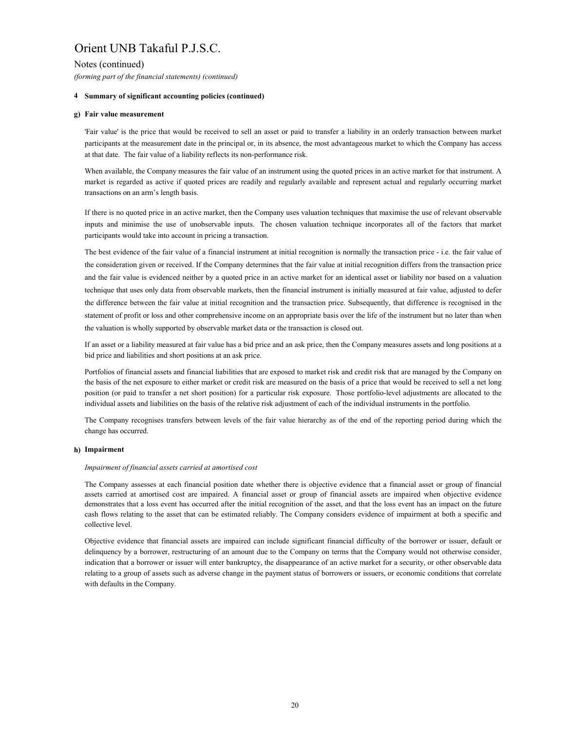Notes (continued)

*(forming part of the financial statements) (continued)*

# **4 Summary of significant accounting policies (continued)**

# **g) Fair value measurement**

'Fair value' is the price that would be received to sell an asset or paid to transfer a liability in an orderly transaction between market participants at the measurement date in the principal or, in its absence, the most advantageous market to which the Company has access at that date. The fair value of a liability reflects its non-performance risk.

When available, the Company measures the fair value of an instrument using the quoted prices in an active market for that instrument. A market is regarded as active if quoted prices are readily and regularly available and represent actual and regularly occurring market transactions on an arm's length basis.

If there is no quoted price in an active market, then the Company uses valuation techniques that maximise the use of relevant observable inputs and minimise the use of unobservable inputs. The chosen valuation technique incorporates all of the factors that market participants would take into account in pricing a transaction.

The best evidence of the fair value of a financial instrument at initial recognition is normally the transaction price - i.e. the fair value of the consideration given or received. If the Company determines that the fair value at initial recognition differs from the transaction price and the fair value is evidenced neither by a quoted price in an active market for an identical asset or liability nor based on a valuation technique that uses only data from observable markets, then the financial instrument is initially measured at fair value, adjusted to defer the difference between the fair value at initial recognition and the transaction price. Subsequently, that difference is recognised in the statement of profit or loss and other comprehensive income on an appropriate basis over the life of the instrument but no later than when the valuation is wholly supported by observable market data or the transaction is closed out.

If an asset or a liability measured at fair value has a bid price and an ask price, then the Company measures assets and long positions at a bid price and liabilities and short positions at an ask price.

Portfolios of financial assets and financial liabilities that are exposed to market risk and credit risk that are managed by the Company on the basis of the net exposure to either market or credit risk are measured on the basis of a price that would be received to sell a net long position (or paid to transfer a net short position) for a particular risk exposure. Those portfolio-level adjustments are allocated to the individual assets and liabilities on the basis of the relative risk adjustment of each of the individual instruments in the portfolio.

The Company recognises transfers between levels of the fair value hierarchy as of the end of the reporting period during which the change has occurred.

# **h) Impairment**

# *Impairment of financial assets carried at amortised cost*

The Company assesses at each financial position date whether there is objective evidence that a financial asset or group of financial assets carried at amortised cost are impaired. A financial asset or group of financial assets are impaired when objective evidence demonstrates that a loss event has occurred after the initial recognition of the asset, and that the loss event has an impact on the future cash flows relating to the asset that can be estimated reliably. The Company considers evidence of impairment at both a specific and collective level.

Objective evidence that financial assets are impaired can include significant financial difficulty of the borrower or issuer, default or delinquency by a borrower, restructuring of an amount due to the Company on terms that the Company would not otherwise consider, indication that a borrower or issuer will enter bankruptcy, the disappearance of an active market for a security, or other observable data relating to a group of assets such as adverse change in the payment status of borrowers or issuers, or economic conditions that correlate with defaults in the Company.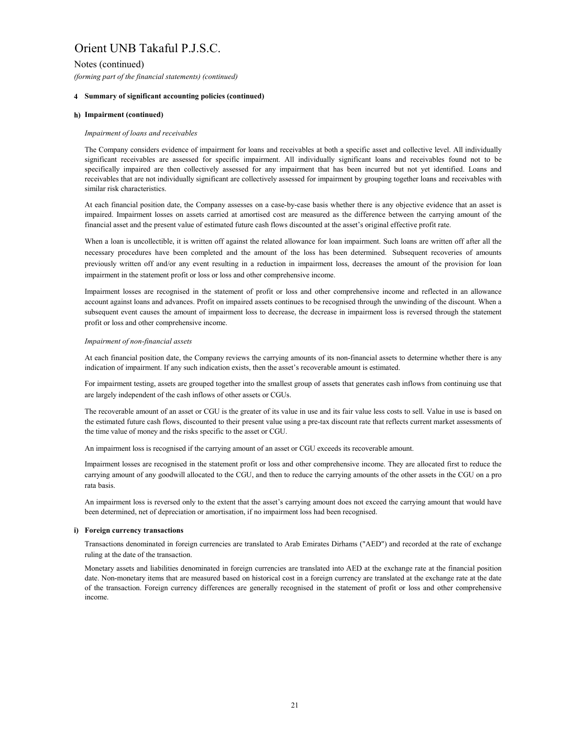Notes (continued)

*(forming part of the financial statements) (continued)*

# **4 Summary of significant accounting policies (continued)**

# **h) Impairment (continued)**

## *Impairment of loans and receivables*

The Company considers evidence of impairment for loans and receivables at both a specific asset and collective level. All individually significant receivables are assessed for specific impairment. All individually significant loans and receivables found not to be specifically impaired are then collectively assessed for any impairment that has been incurred but not yet identified. Loans and receivables that are not individually significant are collectively assessed for impairment by grouping together loans and receivables with similar risk characteristics.

At each financial position date, the Company assesses on a case-by-case basis whether there is any objective evidence that an asset is impaired. Impairment losses on assets carried at amortised cost are measured as the difference between the carrying amount of the financial asset and the present value of estimated future cash flows discounted at the asset's original effective profit rate.

When a loan is uncollectible, it is written off against the related allowance for loan impairment. Such loans are written off after all the necessary procedures have been completed and the amount of the loss has been determined. Subsequent recoveries of amounts previously written off and/or any event resulting in a reduction in impairment loss, decreases the amount of the provision for loan impairment in the statement profit or loss or loss and other comprehensive income.

Impairment losses are recognised in the statement of profit or loss and other comprehensive income and reflected in an allowance account against loans and advances. Profit on impaired assets continues to be recognised through the unwinding of the discount. When a subsequent event causes the amount of impairment loss to decrease, the decrease in impairment loss is reversed through the statement profit or loss and other comprehensive income.

## *Impairment of non-financial assets*

At each financial position date, the Company reviews the carrying amounts of its non-financial assets to determine whether there is any indication of impairment. If any such indication exists, then the asset's recoverable amount is estimated.

For impairment testing, assets are grouped together into the smallest group of assets that generates cash inflows from continuing use that are largely independent of the cash inflows of other assets or CGUs.

The recoverable amount of an asset or CGU is the greater of its value in use and its fair value less costs to sell. Value in use is based on the estimated future cash flows, discounted to their present value using a pre-tax discount rate that reflects current market assessments of the time value of money and the risks specific to the asset or CGU.

An impairment loss is recognised if the carrying amount of an asset or CGU exceeds its recoverable amount.

Impairment losses are recognised in the statement profit or loss and other comprehensive income. They are allocated first to reduce the carrying amount of any goodwill allocated to the CGU, and then to reduce the carrying amounts of the other assets in the CGU on a pro rata basis.

An impairment loss is reversed only to the extent that the asset's carrying amount does not exceed the carrying amount that would have been determined, net of depreciation or amortisation, if no impairment loss had been recognised.

### **i) Foreign currency transactions**

Transactions denominated in foreign currencies are translated to Arab Emirates Dirhams ("AED") and recorded at the rate of exchange ruling at the date of the transaction.

Monetary assets and liabilities denominated in foreign currencies are translated into AED at the exchange rate at the financial position date. Non-monetary items that are measured based on historical cost in a foreign currency are translated at the exchange rate at the date of the transaction. Foreign currency differences are generally recognised in the statement of profit or loss and other comprehensive income.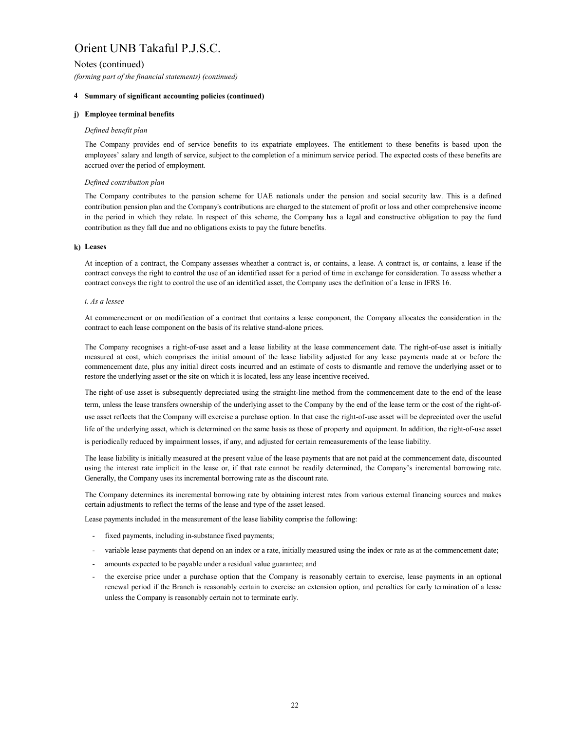Notes (continued)

*(forming part of the financial statements) (continued)*

# **4 Summary of significant accounting policies (continued)**

# **j) Employee terminal benefits**

# *Defined benefit plan*

The Company provides end of service benefits to its expatriate employees. The entitlement to these benefits is based upon the employees' salary and length of service, subject to the completion of a minimum service period. The expected costs of these benefits are accrued over the period of employment.

# *Defined contribution plan*

The Company contributes to the pension scheme for UAE nationals under the pension and social security law. This is a defined contribution pension plan and the Company's contributions are charged to the statement of profit or loss and other comprehensive income in the period in which they relate. In respect of this scheme, the Company has a legal and constructive obligation to pay the fund contribution as they fall due and no obligations exists to pay the future benefits.

# **k) Leases**

At inception of a contract, the Company assesses wheather a contract is, or contains, a lease. A contract is, or contains, a lease if the contract conveys the right to control the use of an identified asset for a period of time in exchange for consideration. To assess whether a contract conveys the right to control the use of an identified asset, the Company uses the definition of a lease in IFRS 16.

# *i. As a lessee*

At commencement or on modification of a contract that contains a lease component, the Company allocates the consideration in the contract to each lease component on the basis of its relative stand-alone prices.

The Company recognises a right-of-use asset and a lease liability at the lease commencement date. The right-of-use asset is initially measured at cost, which comprises the initial amount of the lease liability adjusted for any lease payments made at or before the commencement date, plus any initial direct costs incurred and an estimate of costs to dismantle and remove the underlying asset or to restore the underlying asset or the site on which it is located, less any lease incentive received.

The right-of-use asset is subsequently depreciated using the straight-line method from the commencement date to the end of the lease term, unless the lease transfers ownership of the underlying asset to the Company by the end of the lease term or the cost of the right-ofuse asset reflects that the Company will exercise a purchase option. In that case the right-of-use asset will be depreciated over the useful life of the underlying asset, which is determined on the same basis as those of property and equipment. In addition, the right-of-use asset is periodically reduced by impairment losses, if any, and adjusted for certain remeasurements of the lease liability.

The lease liability is initially measured at the present value of the lease payments that are not paid at the commencement date, discounted using the interest rate implicit in the lease or, if that rate cannot be readily determined, the Company's incremental borrowing rate. Generally, the Company uses its incremental borrowing rate as the discount rate.

The Company determines its incremental borrowing rate by obtaining interest rates from various external financing sources and makes certain adjustments to reflect the terms of the lease and type of the asset leased.

Lease payments included in the measurement of the lease liability comprise the following:

- fixed payments, including in-substance fixed payments;
- variable lease payments that depend on an index or a rate, initially measured using the index or rate as at the commencement date;
- amounts expected to be payable under a residual value guarantee; and
- the exercise price under a purchase option that the Company is reasonably certain to exercise, lease payments in an optional renewal period if the Branch is reasonably certain to exercise an extension option, and penalties for early termination of a lease unless the Company is reasonably certain not to terminate early.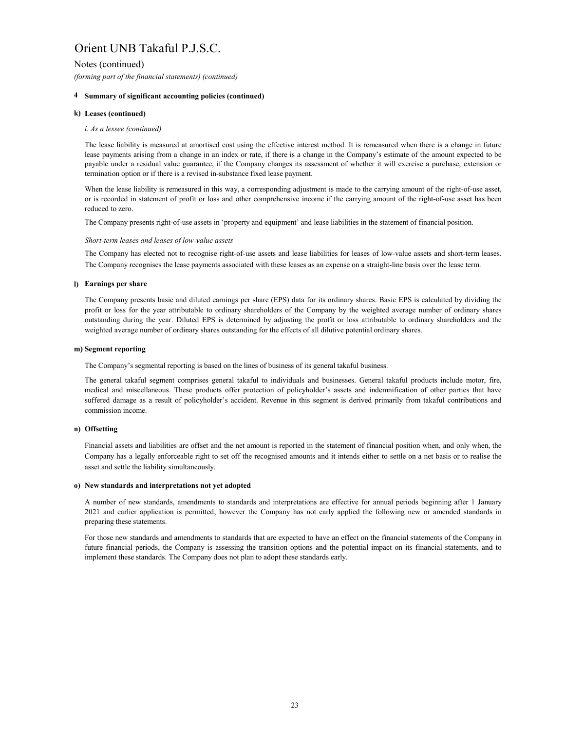Notes (continued)

*(forming part of the financial statements) (continued)*

# **4 Summary of significant accounting policies (continued)**

# **k) Leases (continued)**

# *i. As a lessee (continued)*

The lease liability is measured at amortised cost using the effective interest method. It is remeasured when there is a change in future lease payments arising from a change in an index or rate, if there is a change in the Company's estimate of the amount expected to be payable under a residual value guarantee, if the Company changes its assessment of whether it will exercise a purchase, extension or termination option or if there is a revised in-substance fixed lease payment.

When the lease liability is remeasured in this way, a corresponding adjustment is made to the carrying amount of the right-of-use asset, or is recorded in statement of profit or loss and other comprehensive income if the carrying amount of the right-of-use asset has been reduced to zero.

The Company presents right-of-use assets in 'property and equipment' and lease liabilities in the statement of financial position.

# *Short-term leases and leases of low-value assets*

The Company has elected not to recognise right-of-use assets and lease liabilities for leases of low-value assets and short-term leases. The Company recognises the lease payments associated with these leases as an expense on a straight-line basis over the lease term.

# **l) Earnings per share**

The Company presents basic and diluted earnings per share (EPS) data for its ordinary shares. Basic EPS is calculated by dividing the profit or loss for the year attributable to ordinary shareholders of the Company by the weighted average number of ordinary shares outstanding during the year. Diluted EPS is determined by adjusting the profit or loss attributable to ordinary shareholders and the weighted average number of ordinary shares outstanding for the effects of all dilutive potential ordinary shares.

# **m) Segment reporting**

The Company's segmental reporting is based on the lines of business of its general takaful business.

The general takaful segment comprises general takaful to individuals and businesses. General takaful products include motor, fire, medical and miscellaneous. These products offer protection of policyholder's assets and indemnification of other parties that have suffered damage as a result of policyholder's accident. Revenue in this segment is derived primarily from takaful contributions and commission income.

# **n) Offsetting**

Financial assets and liabilities are offset and the net amount is reported in the statement of financial position when, and only when, the Company has a legally enforceable right to set off the recognised amounts and it intends either to settle on a net basis or to realise the asset and settle the liability simultaneously.

# **o) New standards and interpretations not yet adopted**

A number of new standards, amendments to standards and interpretations are effective for annual periods beginning after 1 January 2021 and earlier application is permitted; however the Company has not early applied the following new or amended standards in preparing these statements.

For those new standards and amendments to standards that are expected to have an effect on the financial statements of the Company in future financial periods, the Company is assessing the transition options and the potential impact on its financial statements, and to implement these standards. The Company does not plan to adopt these standards early.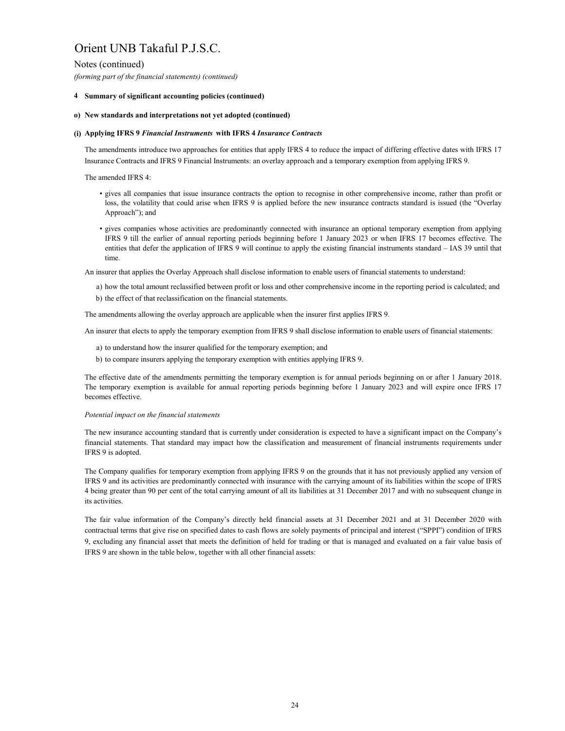Notes (continued)

*(forming part of the financial statements) (continued)*

# **4 Summary of significant accounting policies (continued)**

# **o) New standards and interpretations not yet adopted (continued)**

# **(i) Applying IFRS 9** *Financial Instruments* **with IFRS 4** *Insurance Contracts*

The amendments introduce two approaches for entities that apply IFRS 4 to reduce the impact of differing effective dates with IFRS 17 Insurance Contracts and IFRS 9 Financial Instruments: an overlay approach and a temporary exemption from applying IFRS 9.

The amended IFRS 4:

- gives all companies that issue insurance contracts the option to recognise in other comprehensive income, rather than profit or loss, the volatility that could arise when IFRS 9 is applied before the new insurance contracts standard is issued (the "Overlay Approach"); and
- gives companies whose activities are predominantly connected with insurance an optional temporary exemption from applying IFRS 9 till the earlier of annual reporting periods beginning before 1 January 2023 or when IFRS 17 becomes effective. The entities that defer the application of IFRS 9 will continue to apply the existing financial instruments standard – IAS 39 until that time.

An insurer that applies the Overlay Approach shall disclose information to enable users of financial statements to understand:

- a) how the total amount reclassified between profit or loss and other comprehensive income in the reporting period is calculated; and
- b) the effect of that reclassification on the financial statements.

The amendments allowing the overlay approach are applicable when the insurer first applies IFRS 9.

An insurer that elects to apply the temporary exemption from IFRS 9 shall disclose information to enable users of financial statements:

- a) to understand how the insurer qualified for the temporary exemption; and
- b) to compare insurers applying the temporary exemption with entities applying IFRS 9.

The effective date of the amendments permitting the temporary exemption is for annual periods beginning on or after 1 January 2018. The temporary exemption is available for annual reporting periods beginning before 1 January 2023 and will expire once IFRS 17 becomes effective.

# *Potential impact on the financial statements*

The new insurance accounting standard that is currently under consideration is expected to have a significant impact on the Company's financial statements. That standard may impact how the classification and measurement of financial instruments requirements under IFRS 9 is adopted.

The Company qualifies for temporary exemption from applying IFRS 9 on the grounds that it has not previously applied any version of IFRS 9 and its activities are predominantly connected with insurance with the carrying amount of its liabilities within the scope of IFRS 4 being greater than 90 per cent of the total carrying amount of all its liabilities at 31 December 2017 and with no subsequent change in its activities.

The fair value information of the Company's directly held financial assets at 31 December 2021 and at 31 December 2020 with contractual terms that give rise on specified dates to cash flows are solely payments of principal and interest ("SPPI") condition of IFRS 9, excluding any financial asset that meets the definition of held for trading or that is managed and evaluated on a fair value basis of IFRS 9 are shown in the table below, together with all other financial assets: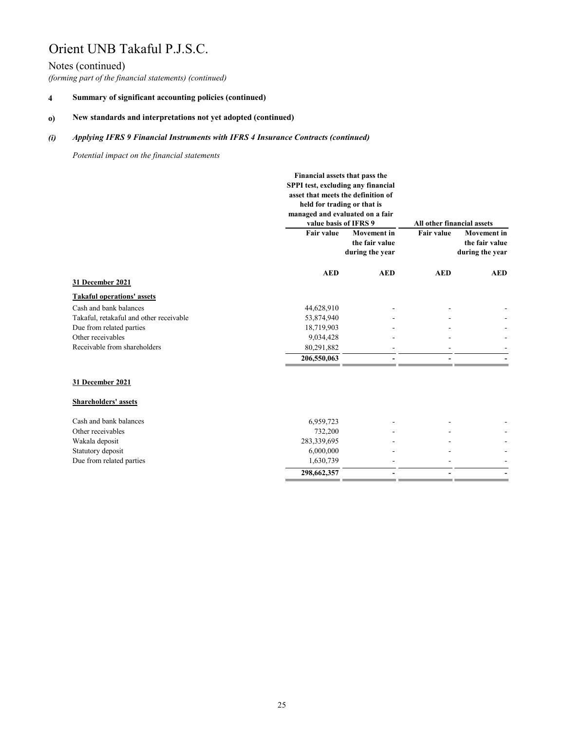# Notes (continued)

*(forming part of the financial statements) (continued)*

#### **4 Summary of significant accounting policies (continued)**

#### **o) New standards and interpretations not yet adopted (continued)**

#### *(i) Applying IFRS 9 Financial Instruments with IFRS 4 Insurance Contracts (continued)*

*Potential impact on the financial statements*

|                                         | Financial assets that pass the<br>SPPI test, excluding any financial<br>asset that meets the definition of<br>held for trading or that is<br>managed and evaluated on a fair<br>value basis of IFRS 9 |                | All other financial assets<br><b>Movement</b> in |            |  |
|-----------------------------------------|-------------------------------------------------------------------------------------------------------------------------------------------------------------------------------------------------------|----------------|--------------------------------------------------|------------|--|
|                                         | <b>Fair value</b><br><b>Movement</b> in<br>the fair value<br>during the year                                                                                                                          |                | <b>Fair value</b><br>during the year             |            |  |
|                                         | <b>AED</b>                                                                                                                                                                                            | <b>AED</b>     | <b>AED</b>                                       | <b>AED</b> |  |
| 31 December 2021                        |                                                                                                                                                                                                       |                |                                                  |            |  |
| <b>Takaful operations' assets</b>       |                                                                                                                                                                                                       |                |                                                  |            |  |
| Cash and bank balances                  | 44,628,910                                                                                                                                                                                            |                |                                                  |            |  |
| Takaful, retakaful and other receivable | 53,874,940                                                                                                                                                                                            |                |                                                  |            |  |
| Due from related parties                | 18,719,903                                                                                                                                                                                            |                |                                                  |            |  |
| Other receivables                       | 9,034,428                                                                                                                                                                                             |                |                                                  |            |  |
| Receivable from shareholders            | 80,291,882                                                                                                                                                                                            |                |                                                  |            |  |
|                                         | 206,550,063                                                                                                                                                                                           |                |                                                  |            |  |
| 31 December 2021                        |                                                                                                                                                                                                       |                |                                                  |            |  |
| <b>Shareholders' assets</b>             |                                                                                                                                                                                                       |                |                                                  |            |  |
| Cash and bank balances                  | 6,959,723                                                                                                                                                                                             |                |                                                  |            |  |
| Other receivables                       | 732,200                                                                                                                                                                                               |                |                                                  |            |  |
| Wakala deposit                          | 283,339,695                                                                                                                                                                                           |                |                                                  |            |  |
| Statutory deposit                       | 6,000,000                                                                                                                                                                                             |                |                                                  |            |  |
| Due from related parties                | 1,630,739                                                                                                                                                                                             |                |                                                  |            |  |
|                                         | 298,662,357                                                                                                                                                                                           | $\blacksquare$ | $\blacksquare$                                   |            |  |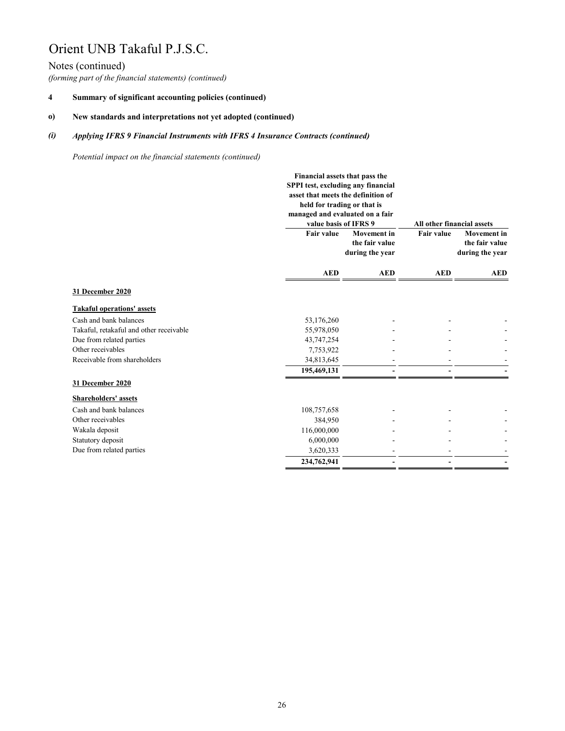# Notes (continued)

*(forming part of the financial statements) (continued)*

#### **4 Summary of significant accounting policies (continued)**

#### **o) New standards and interpretations not yet adopted (continued)**

#### *(i) Applying IFRS 9 Financial Instruments with IFRS 4 Insurance Contracts (continued)*

*Potential impact on the financial statements (continued)*

|                                         |                   | Financial assets that pass the<br>SPPI test, excluding any financial<br>asset that meets the definition of<br>held for trading or that is<br>managed and evaluated on a fair<br>value basis of IFRS 9 |                                                         | All other financial assets |                                                         |
|-----------------------------------------|-------------------|-------------------------------------------------------------------------------------------------------------------------------------------------------------------------------------------------------|---------------------------------------------------------|----------------------------|---------------------------------------------------------|
|                                         | <b>Fair value</b> |                                                                                                                                                                                                       | <b>Movement</b> in<br>the fair value<br>during the year | <b>Fair value</b>          | <b>Movement</b> in<br>the fair value<br>during the year |
|                                         | <b>AED</b>        | <b>AED</b>                                                                                                                                                                                            | <b>AED</b>                                              | <b>AED</b>                 |                                                         |
| 31 December 2020                        |                   |                                                                                                                                                                                                       |                                                         |                            |                                                         |
| <b>Takaful operations' assets</b>       |                   |                                                                                                                                                                                                       |                                                         |                            |                                                         |
| Cash and bank balances                  | 53,176,260        |                                                                                                                                                                                                       |                                                         |                            |                                                         |
| Takaful, retakaful and other receivable | 55,978,050        |                                                                                                                                                                                                       |                                                         |                            |                                                         |
| Due from related parties                | 43,747,254        |                                                                                                                                                                                                       |                                                         |                            |                                                         |
| Other receivables                       | 7,753,922         |                                                                                                                                                                                                       |                                                         |                            |                                                         |
| Receivable from shareholders            | 34,813,645        |                                                                                                                                                                                                       |                                                         |                            |                                                         |
|                                         | 195,469,131       |                                                                                                                                                                                                       |                                                         |                            |                                                         |
| 31 December 2020                        |                   |                                                                                                                                                                                                       |                                                         |                            |                                                         |
| <b>Shareholders' assets</b>             |                   |                                                                                                                                                                                                       |                                                         |                            |                                                         |
| Cash and bank balances                  | 108,757,658       |                                                                                                                                                                                                       |                                                         |                            |                                                         |
| Other receivables                       | 384,950           |                                                                                                                                                                                                       |                                                         |                            |                                                         |
| Wakala deposit                          | 116,000,000       |                                                                                                                                                                                                       |                                                         |                            |                                                         |
| Statutory deposit                       | 6,000,000         |                                                                                                                                                                                                       |                                                         |                            |                                                         |
| Due from related parties                | 3,620,333         |                                                                                                                                                                                                       |                                                         |                            |                                                         |
|                                         | 234,762,941       |                                                                                                                                                                                                       |                                                         |                            |                                                         |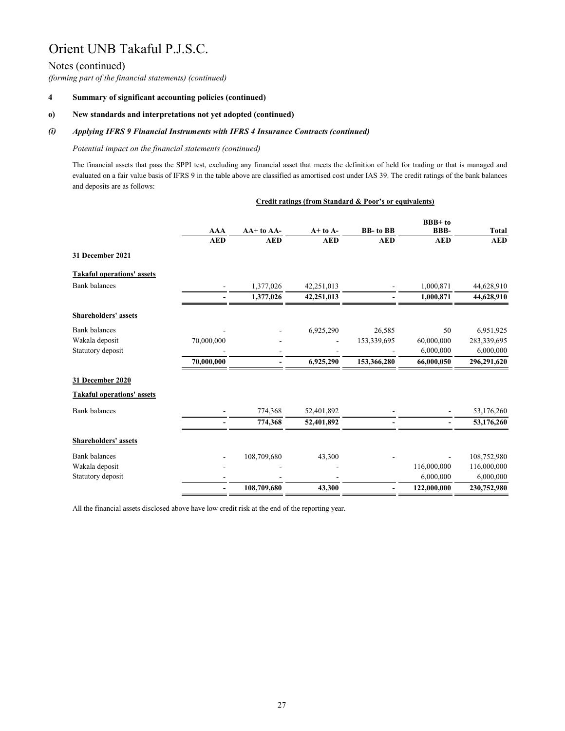# Notes (continued)

*(forming part of the financial statements) (continued)*

#### **4 Summary of significant accounting policies (continued)**

#### **o) New standards and interpretations not yet adopted (continued)**

#### *(i) Applying IFRS 9 Financial Instruments with IFRS 4 Insurance Contracts (continued)*

### *Potential impact on the financial statements (continued)*

The financial assets that pass the SPPI test, excluding any financial asset that meets the definition of held for trading or that is managed and evaluated on a fair value basis of IFRS 9 in the table above are classified as amortised cost under IAS 39. The credit ratings of the bank balances and deposits are as follows:

|                                   | Credit ratings (from Standard & Poor's or equivalents) |             |              |                  |                              |              |
|-----------------------------------|--------------------------------------------------------|-------------|--------------|------------------|------------------------------|--------------|
|                                   | <b>AAA</b>                                             | AA+ to AA-  | $A+$ to $A-$ | <b>BB-</b> to BB | <b>BBB+to</b><br><b>BBB-</b> | <b>Total</b> |
|                                   | <b>AED</b>                                             | <b>AED</b>  | <b>AED</b>   | <b>AED</b>       | <b>AED</b>                   | <b>AED</b>   |
| 31 December 2021                  |                                                        |             |              |                  |                              |              |
| <b>Takaful operations' assets</b> |                                                        |             |              |                  |                              |              |
| <b>Bank</b> balances              | $\overline{\phantom{0}}$                               | 1,377,026   | 42,251,013   |                  | 1,000,871                    | 44,628,910   |
|                                   |                                                        | 1,377,026   | 42,251,013   |                  | 1,000,871                    | 44,628,910   |
| <b>Shareholders' assets</b>       |                                                        |             |              |                  |                              |              |
| <b>Bank</b> balances              |                                                        |             | 6,925,290    | 26,585           | 50                           | 6,951,925    |
| Wakala deposit                    | 70,000,000                                             |             |              | 153,339,695      | 60,000,000                   | 283,339,695  |
| Statutory deposit                 |                                                        |             |              |                  | 6,000,000                    | 6,000,000    |
|                                   | 70,000,000                                             |             | 6,925,290    | 153,366,280      | 66,000,050                   | 296,291,620  |
| 31 December 2020                  |                                                        |             |              |                  |                              |              |
| <b>Takaful operations' assets</b> |                                                        |             |              |                  |                              |              |
| <b>Bank</b> balances              |                                                        | 774,368     | 52,401,892   |                  |                              | 53,176,260   |
|                                   |                                                        | 774,368     | 52,401,892   |                  |                              | 53,176,260   |
| <b>Shareholders' assets</b>       |                                                        |             |              |                  |                              |              |
| <b>Bank</b> balances              |                                                        | 108,709,680 | 43,300       |                  |                              | 108,752,980  |
| Wakala deposit                    |                                                        |             |              |                  | 116,000,000                  | 116,000,000  |
| Statutory deposit                 |                                                        |             |              |                  | 6,000,000                    | 6,000,000    |
|                                   | $\qquad \qquad \blacksquare$                           | 108,709,680 | 43,300       | $\blacksquare$   | 122,000,000                  | 230,752,980  |

All the financial assets disclosed above have low credit risk at the end of the reporting year.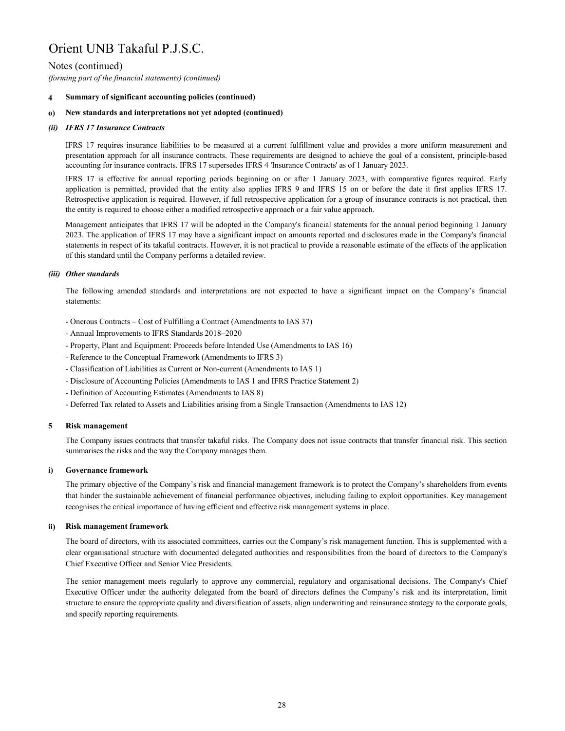# Notes (continued)

*(forming part of the financial statements) (continued)*

#### **4 Summary of significant accounting policies (continued)**

#### **o) New standards and interpretations not yet adopted (continued)**

## *(ii) IFRS 17 Insurance Contracts*

IFRS 17 requires insurance liabilities to be measured at a current fulfillment value and provides a more uniform measurement and presentation approach for all insurance contracts. These requirements are designed to achieve the goal of a consistent, principle-based accounting for insurance contracts. IFRS 17 supersedes IFRS 4 'Insurance Contracts' as of 1 January 2023.

IFRS 17 is effective for annual reporting periods beginning on or after 1 January 2023, with comparative figures required. Early application is permitted, provided that the entity also applies IFRS 9 and IFRS 15 on or before the date it first applies IFRS 17. Retrospective application is required. However, if full retrospective application for a group of insurance contracts is not practical, then the entity is required to choose either a modified retrospective approach or a fair value approach.

Management anticipates that IFRS 17 will be adopted in the Company's financial statements for the annual period beginning 1 January 2023. The application of IFRS 17 may have a significant impact on amounts reported and disclosures made in the Company's financial statements in respect of its takaful contracts. However, it is not practical to provide a reasonable estimate of the effects of the application of this standard until the Company performs a detailed review.

# *(iii) Other standards*

The following amended standards and interpretations are not expected to have a significant impact on the Company's financial statements:

- Onerous Contracts Cost of Fulfilling a Contract (Amendments to IAS 37)
- Annual Improvements to IFRS Standards 2018–2020
- Property, Plant and Equipment: Proceeds before Intended Use (Amendments to IAS 16)
- Reference to the Conceptual Framework (Amendments to IFRS 3)
- Classification of Liabilities as Current or Non-current (Amendments to IAS 1)
- Disclosure of Accounting Policies (Amendments to IAS 1 and IFRS Practice Statement 2)
- Definition of Accounting Estimates (Amendments to IAS 8)
- Deferred Tax related to Assets and Liabilities arising from a Single Transaction (Amendments to IAS 12)

#### **5 Risk management**

The Company issues contracts that transfer takaful risks. The Company does not issue contracts that transfer financial risk. This section summarises the risks and the way the Company manages them.

#### **i) Governance framework**

The primary objective of the Company's risk and financial management framework is to protect the Company's shareholders from events that hinder the sustainable achievement of financial performance objectives, including failing to exploit opportunities. Key management recognises the critical importance of having efficient and effective risk management systems in place.

#### **ii) Risk management framework**

The board of directors, with its associated committees, carries out the Company's risk management function. This is supplemented with a clear organisational structure with documented delegated authorities and responsibilities from the board of directors to the Company's Chief Executive Officer and Senior Vice Presidents.

The senior management meets regularly to approve any commercial, regulatory and organisational decisions. The Company's Chief Executive Officer under the authority delegated from the board of directors defines the Company's risk and its interpretation, limit structure to ensure the appropriate quality and diversification of assets, align underwriting and reinsurance strategy to the corporate goals, and specify reporting requirements.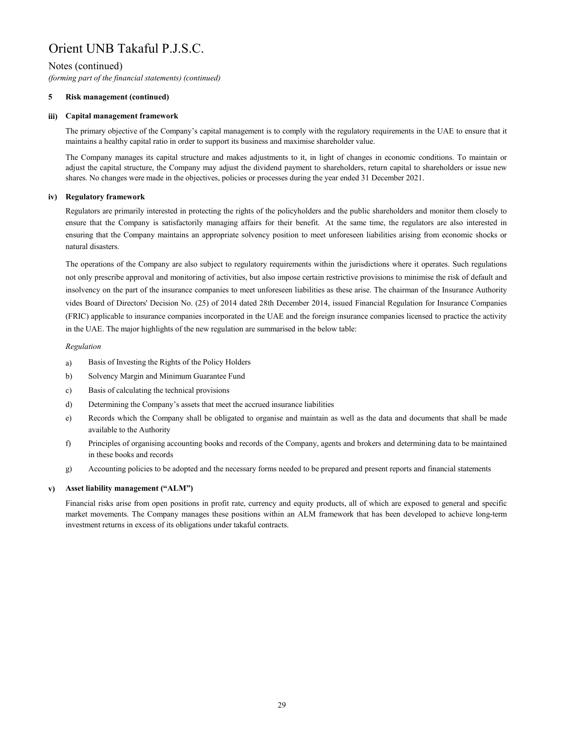# Notes (continued)

*(forming part of the financial statements) (continued)*

#### **5 Risk management (continued)**

#### **iii) Capital management framework**

The primary objective of the Company's capital management is to comply with the regulatory requirements in the UAE to ensure that it maintains a healthy capital ratio in order to support its business and maximise shareholder value.

The Company manages its capital structure and makes adjustments to it, in light of changes in economic conditions. To maintain or adjust the capital structure, the Company may adjust the dividend payment to shareholders, return capital to shareholders or issue new shares. No changes were made in the objectives, policies or processes during the year ended 31 December 2021.

# **iv) Regulatory framework**

Regulators are primarily interested in protecting the rights of the policyholders and the public shareholders and monitor them closely to ensure that the Company is satisfactorily managing affairs for their benefit. At the same time, the regulators are also interested in ensuring that the Company maintains an appropriate solvency position to meet unforeseen liabilities arising from economic shocks or natural disasters.

The operations of the Company are also subject to regulatory requirements within the jurisdictions where it operates. Such regulations not only prescribe approval and monitoring of activities, but also impose certain restrictive provisions to minimise the risk of default and insolvency on the part of the insurance companies to meet unforeseen liabilities as these arise. The chairman of the Insurance Authority vides Board of Directors' Decision No. (25) of 2014 dated 28th December 2014, issued Financial Regulation for Insurance Companies (FRIC) applicable to insurance companies incorporated in the UAE and the foreign insurance companies licensed to practice the activity in the UAE. The major highlights of the new regulation are summarised in the below table:

# *Regulation*

- a) Basis of Investing the Rights of the Policy Holders
- b) Solvency Margin and Minimum Guarantee Fund
- c) Basis of calculating the technical provisions
- d) Determining the Company's assets that meet the accrued insurance liabilities
- e) Records which the Company shall be obligated to organise and maintain as well as the data and documents that shall be made available to the Authority
- f) Principles of organising accounting books and records of the Company, agents and brokers and determining data to be maintained in these books and records
- g) Accounting policies to be adopted and the necessary forms needed to be prepared and present reports and financial statements

#### **v) Asset liability management ("ALM")**

Financial risks arise from open positions in profit rate, currency and equity products, all of which are exposed to general and specific market movements. The Company manages these positions within an ALM framework that has been developed to achieve long-term investment returns in excess of its obligations under takaful contracts.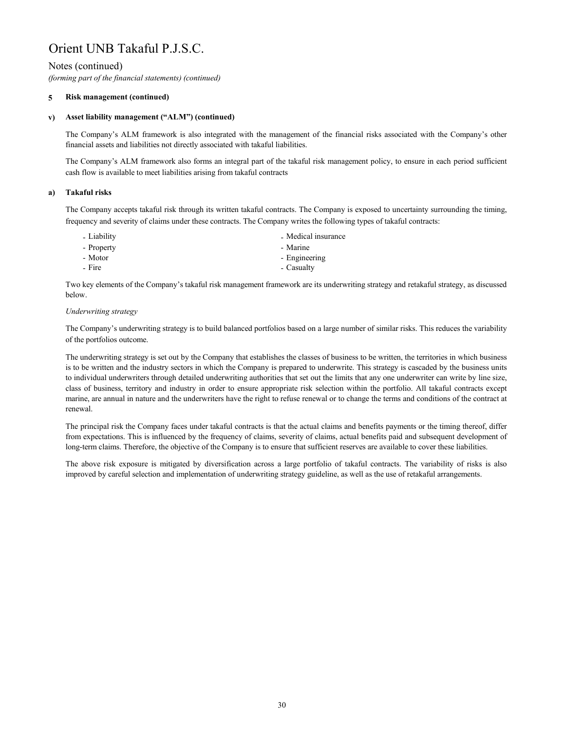# Notes (continued)

*(forming part of the financial statements) (continued)*

#### **5 Risk management (continued)**

#### **v) Asset liability management ("ALM") (continued)**

The Company's ALM framework is also integrated with the management of the financial risks associated with the Company's other financial assets and liabilities not directly associated with takaful liabilities.

The Company's ALM framework also forms an integral part of the takaful risk management policy, to ensure in each period sufficient cash flow is available to meet liabilities arising from takaful contracts

#### **a) Takaful risks**

The Company accepts takaful risk through its written takaful contracts. The Company is exposed to uncertainty surrounding the timing, frequency and severity of claims under these contracts. The Company writes the following types of takaful contracts:

- 
- Liability  **Liability** Medical insurance - Property **- Marine**
- Motor Engineering
- Fire Casualty

Two key elements of the Company's takaful risk management framework are its underwriting strategy and retakaful strategy, as discussed below.

## *Underwriting strategy*

The Company's underwriting strategy is to build balanced portfolios based on a large number of similar risks. This reduces the variability of the portfolios outcome.

The underwriting strategy is set out by the Company that establishes the classes of business to be written, the territories in which business is to be written and the industry sectors in which the Company is prepared to underwrite. This strategy is cascaded by the business units to individual underwriters through detailed underwriting authorities that set out the limits that any one underwriter can write by line size, class of business, territory and industry in order to ensure appropriate risk selection within the portfolio. All takaful contracts except marine, are annual in nature and the underwriters have the right to refuse renewal or to change the terms and conditions of the contract at renewal.

The principal risk the Company faces under takaful contracts is that the actual claims and benefits payments or the timing thereof, differ from expectations. This is influenced by the frequency of claims, severity of claims, actual benefits paid and subsequent development of long-term claims. Therefore, the objective of the Company is to ensure that sufficient reserves are available to cover these liabilities.

The above risk exposure is mitigated by diversification across a large portfolio of takaful contracts. The variability of risks is also improved by careful selection and implementation of underwriting strategy guideline, as well as the use of retakaful arrangements.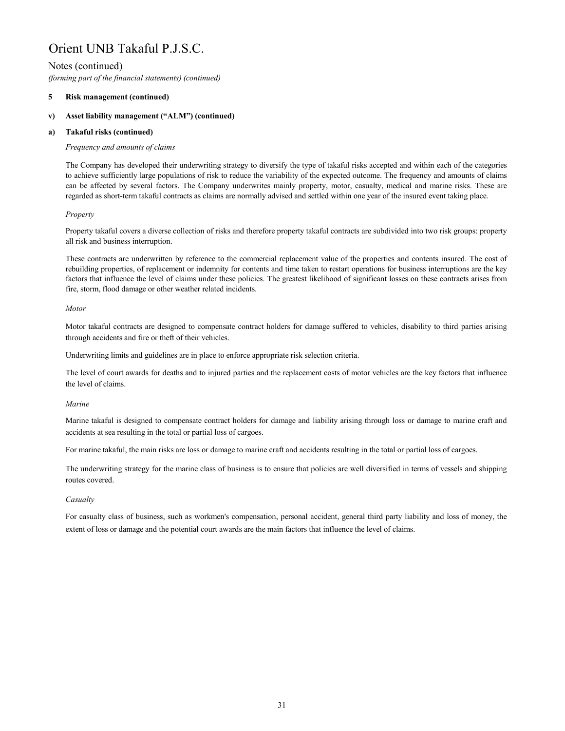# Notes (continued)

*(forming part of the financial statements) (continued)*

#### **5 Risk management (continued)**

#### **v) Asset liability management ("ALM") (continued)**

#### **a) Takaful risks (continued)**

## *Frequency and amounts of claims*

The Company has developed their underwriting strategy to diversify the type of takaful risks accepted and within each of the categories to achieve sufficiently large populations of risk to reduce the variability of the expected outcome. The frequency and amounts of claims can be affected by several factors. The Company underwrites mainly property, motor, casualty, medical and marine risks. These are regarded as short-term takaful contracts as claims are normally advised and settled within one year of the insured event taking place.

# *Property*

Property takaful covers a diverse collection of risks and therefore property takaful contracts are subdivided into two risk groups: property all risk and business interruption.

These contracts are underwritten by reference to the commercial replacement value of the properties and contents insured. The cost of rebuilding properties, of replacement or indemnity for contents and time taken to restart operations for business interruptions are the key factors that influence the level of claims under these policies. The greatest likelihood of significant losses on these contracts arises from fire, storm, flood damage or other weather related incidents.

## *Motor*

Motor takaful contracts are designed to compensate contract holders for damage suffered to vehicles, disability to third parties arising through accidents and fire or theft of their vehicles.

Underwriting limits and guidelines are in place to enforce appropriate risk selection criteria.

The level of court awards for deaths and to injured parties and the replacement costs of motor vehicles are the key factors that influence the level of claims.

# *Marine*

Marine takaful is designed to compensate contract holders for damage and liability arising through loss or damage to marine craft and accidents at sea resulting in the total or partial loss of cargoes.

For marine takaful, the main risks are loss or damage to marine craft and accidents resulting in the total or partial loss of cargoes.

The underwriting strategy for the marine class of business is to ensure that policies are well diversified in terms of vessels and shipping routes covered.

# *Casualty*

For casualty class of business, such as workmen's compensation, personal accident, general third party liability and loss of money, the extent of loss or damage and the potential court awards are the main factors that influence the level of claims.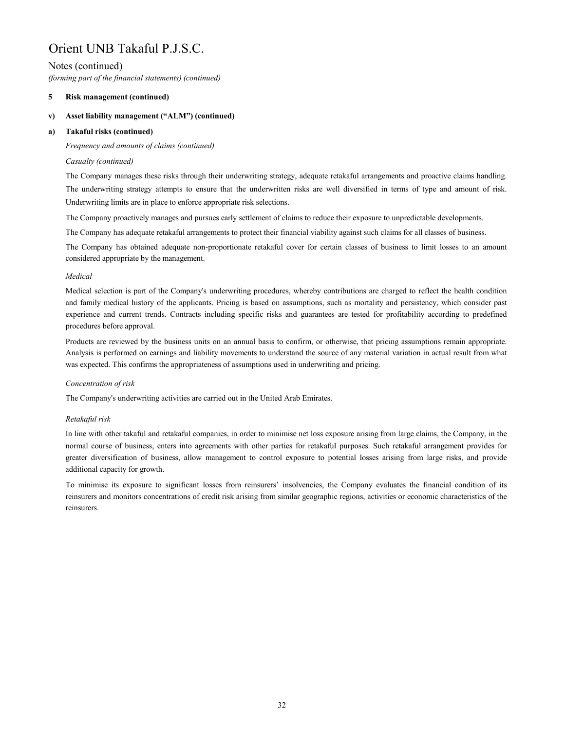# Notes (continued)

*(forming part of the financial statements) (continued)*

#### **5 Risk management (continued)**

#### **v) Asset liability management ("ALM") (continued)**

#### **a) Takaful risks (continued)**

*Frequency and amounts of claims (continued)*

# *Casualty (continued)*

The Company manages these risks through their underwriting strategy, adequate retakaful arrangements and proactive claims handling. The underwriting strategy attempts to ensure that the underwritten risks are well diversified in terms of type and amount of risk. Underwriting limits are in place to enforce appropriate risk selections.

The Company proactively manages and pursues early settlement of claims to reduce their exposure to unpredictable developments.

The Company has adequate retakaful arrangements to protect their financial viability against such claims for all classes of business.

The Company has obtained adequate non-proportionate retakaful cover for certain classes of business to limit losses to an amount considered appropriate by the management.

# *Medical*

Medical selection is part of the Company's underwriting procedures, whereby contributions are charged to reflect the health condition and family medical history of the applicants. Pricing is based on assumptions, such as mortality and persistency, which consider past experience and current trends. Contracts including specific risks and guarantees are tested for profitability according to predefined procedures before approval.

Products are reviewed by the business units on an annual basis to confirm, or otherwise, that pricing assumptions remain appropriate. Analysis is performed on earnings and liability movements to understand the source of any material variation in actual result from what was expected. This confirms the appropriateness of assumptions used in underwriting and pricing.

# *Concentration of risk*

The Company's underwriting activities are carried out in the United Arab Emirates.

# *Retakaful risk*

In line with other takaful and retakaful companies, in order to minimise net loss exposure arising from large claims, the Company, in the normal course of business, enters into agreements with other parties for retakaful purposes. Such retakaful arrangement provides for greater diversification of business, allow management to control exposure to potential losses arising from large risks, and provide additional capacity for growth.

To minimise its exposure to significant losses from reinsurers' insolvencies, the Company evaluates the financial condition of its reinsurers and monitors concentrations of credit risk arising from similar geographic regions, activities or economic characteristics of the reinsurers.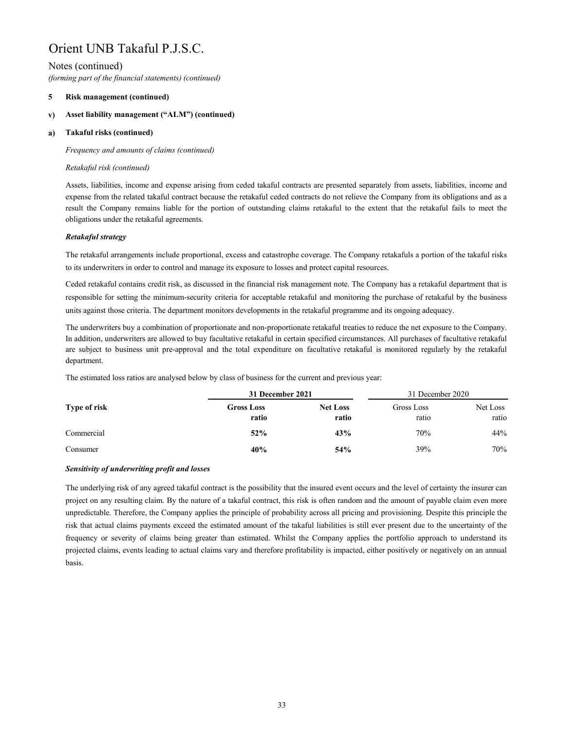# Notes (continued)

*(forming part of the financial statements) (continued)*

#### **5 Risk management (continued)**

#### **v) Asset liability management ("ALM") (continued)**

#### **a) Takaful risks (continued)**

*Frequency and amounts of claims (continued)*

# *Retakaful risk (continued)*

Assets, liabilities, income and expense arising from ceded takaful contracts are presented separately from assets, liabilities, income and expense from the related takaful contract because the retakaful ceded contracts do not relieve the Company from its obligations and as a result the Company remains liable for the portion of outstanding claims retakaful to the extent that the retakaful fails to meet the obligations under the retakaful agreements.

# *Retakaful strategy*

The retakaful arrangements include proportional, excess and catastrophe coverage. The Company retakafuls a portion of the takaful risks to its underwriters in order to control and manage its exposure to losses and protect capital resources.

Ceded retakaful contains credit risk, as discussed in the financial risk management note. The Company has a retakaful department that is responsible for setting the minimum-security criteria for acceptable retakaful and monitoring the purchase of retakaful by the business units against those criteria. The department monitors developments in the retakaful programme and its ongoing adequacy.

The underwriters buy a combination of proportionate and non-proportionate retakaful treaties to reduce the net exposure to the Company. In addition, underwriters are allowed to buy facultative retakaful in certain specified circumstances. All purchases of facultative retakaful are subject to business unit pre-approval and the total expenditure on facultative retakaful is monitored regularly by the retakaful department.

The estimated loss ratios are analysed below by class of business for the current and previous year:

|                     | 31 December 2021           | 31 December 2020         |                     |                   |
|---------------------|----------------------------|--------------------------|---------------------|-------------------|
| <b>Type of risk</b> | <b>Gross Loss</b><br>ratio | <b>Net Loss</b><br>ratio | Gross Loss<br>ratio | Net Loss<br>ratio |
| Commercial          | 52%                        | 43%                      | 70%                 | 44%               |
| Consumer            | 40%                        | 54%                      | 39%                 | 70%               |

# *Sensitivity of underwriting profit and losses*

The underlying risk of any agreed takaful contract is the possibility that the insured event occurs and the level of certainty the insurer can project on any resulting claim. By the nature of a takaful contract, this risk is often random and the amount of payable claim even more unpredictable. Therefore, the Company applies the principle of probability across all pricing and provisioning. Despite this principle the risk that actual claims payments exceed the estimated amount of the takaful liabilities is still ever present due to the uncertainty of the frequency or severity of claims being greater than estimated. Whilst the Company applies the portfolio approach to understand its projected claims, events leading to actual claims vary and therefore profitability is impacted, either positively or negatively on an annual basis.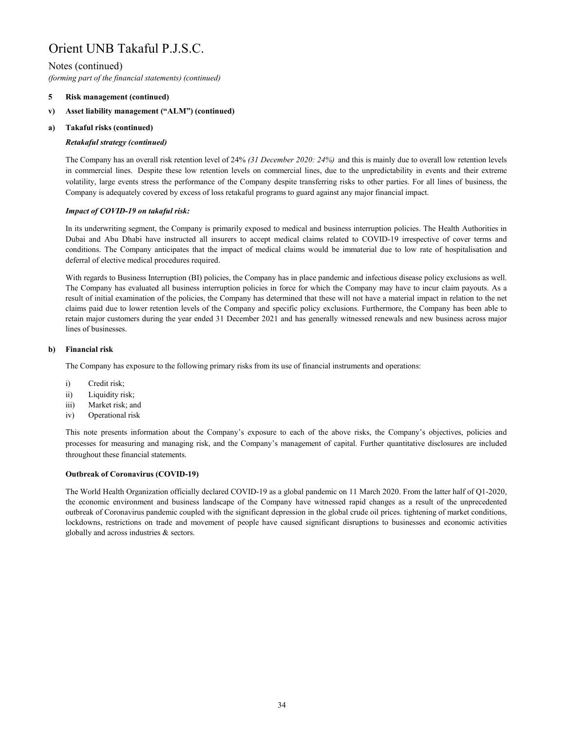# Notes (continued)

*(forming part of the financial statements) (continued)*

#### **5 Risk management (continued)**

#### **v) Asset liability management ("ALM") (continued)**

#### **a) Takaful risks (continued)**

# *Retakaful strategy (continued)*

The Company has an overall risk retention level of 24% *(31 December 2020: 24%)* and this is mainly due to overall low retention levels in commercial lines. Despite these low retention levels on commercial lines, due to the unpredictability in events and their extreme volatility, large events stress the performance of the Company despite transferring risks to other parties. For all lines of business, the Company is adequately covered by excess of loss retakaful programs to guard against any major financial impact.

# *Impact of COVID-19 on takaful risk:*

In its underwriting segment, the Company is primarily exposed to medical and business interruption policies. The Health Authorities in Dubai and Abu Dhabi have instructed all insurers to accept medical claims related to COVID-19 irrespective of cover terms and conditions. The Company anticipates that the impact of medical claims would be immaterial due to low rate of hospitalisation and deferral of elective medical procedures required.

With regards to Business Interruption (BI) policies, the Company has in place pandemic and infectious disease policy exclusions as well. The Company has evaluated all business interruption policies in force for which the Company may have to incur claim payouts. As a result of initial examination of the policies, the Company has determined that these will not have a material impact in relation to the net claims paid due to lower retention levels of the Company and specific policy exclusions. Furthermore, the Company has been able to retain major customers during the year ended 31 December 2021 and has generally witnessed renewals and new business across major lines of businesses.

#### **b) Financial risk**

The Company has exposure to the following primary risks from its use of financial instruments and operations:

- i) Credit risk;
- ii) Liquidity risk;
- iii) Market risk; and
- iv) Operational risk

This note presents information about the Company's exposure to each of the above risks, the Company's objectives, policies and processes for measuring and managing risk, and the Company's management of capital. Further quantitative disclosures are included throughout these financial statements.

# **Outbreak of Coronavirus (COVID-19)**

The World Health Organization officially declared COVID-19 as a global pandemic on 11 March 2020. From the latter half of Q1-2020, the economic environment and business landscape of the Company have witnessed rapid changes as a result of the unprecedented outbreak of Coronavirus pandemic coupled with the significant depression in the global crude oil prices. tightening of market conditions, lockdowns, restrictions on trade and movement of people have caused significant disruptions to businesses and economic activities globally and across industries & sectors.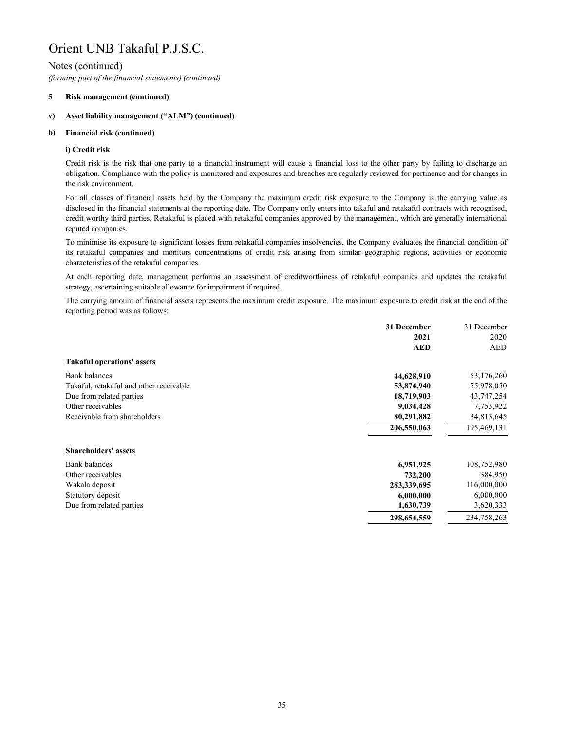# Notes (continued)

*(forming part of the financial statements) (continued)*

#### **5 Risk management (continued)**

#### **v) Asset liability management ("ALM") (continued)**

#### **b) Financial risk (continued)**

# **i) Credit risk**

Credit risk is the risk that one party to a financial instrument will cause a financial loss to the other party by failing to discharge an obligation. Compliance with the policy is monitored and exposures and breaches are regularly reviewed for pertinence and for changes in the risk environment.

For all classes of financial assets held by the Company the maximum credit risk exposure to the Company is the carrying value as disclosed in the financial statements at the reporting date. The Company only enters into takaful and retakaful contracts with recognised, credit worthy third parties. Retakaful is placed with retakaful companies approved by the management, which are generally international reputed companies.

To minimise its exposure to significant losses from retakaful companies insolvencies, the Company evaluates the financial condition of its retakaful companies and monitors concentrations of credit risk arising from similar geographic regions, activities or economic characteristics of the retakaful companies.

At each reporting date, management performs an assessment of creditworthiness of retakaful companies and updates the retakaful strategy, ascertaining suitable allowance for impairment if required.

The carrying amount of financial assets represents the maximum credit exposure. The maximum exposure to credit risk at the end of the reporting period was as follows:

|                                         | 31 December | 31 December |
|-----------------------------------------|-------------|-------------|
|                                         | 2021        | 2020        |
|                                         | <b>AED</b>  | <b>AED</b>  |
| <b>Takaful operations' assets</b>       |             |             |
| <b>Bank balances</b>                    | 44,628,910  | 53,176,260  |
| Takaful, retakaful and other receivable | 53,874,940  | 55,978,050  |
| Due from related parties                | 18,719,903  | 43,747,254  |
| Other receivables                       | 9,034,428   | 7,753,922   |
| Receivable from shareholders            | 80,291,882  | 34,813,645  |
|                                         | 206,550,063 | 195,469,131 |
| <b>Shareholders' assets</b>             |             |             |
| Bank balances                           | 6,951,925   | 108,752,980 |
| Other receivables                       | 732,200     | 384,950     |
| Wakala deposit                          | 283,339,695 | 116,000,000 |
| Statutory deposit                       | 6,000,000   | 6,000,000   |
| Due from related parties                | 1,630,739   | 3,620,333   |
|                                         | 298,654,559 | 234,758,263 |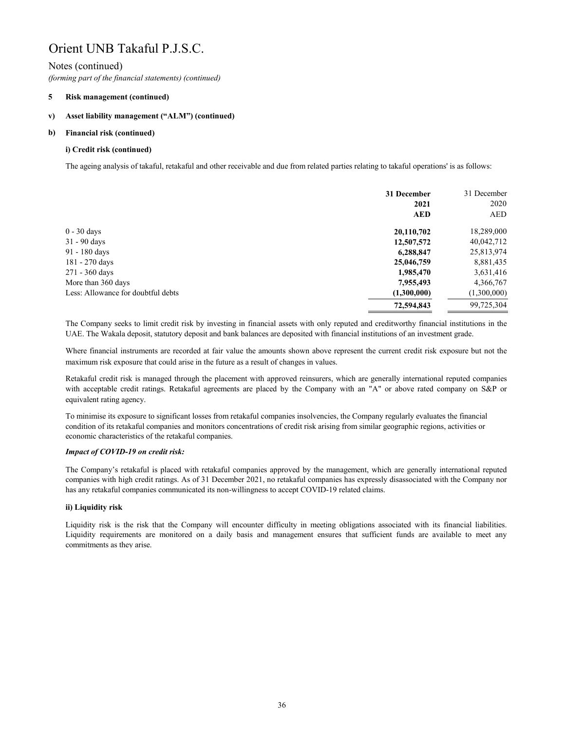# Notes (continued)

*(forming part of the financial statements) (continued)*

#### **5 Risk management (continued)**

#### **v) Asset liability management ("ALM") (continued)**

#### **b) Financial risk (continued)**

# **i) Credit risk (continued)**

The ageing analysis of takaful, retakaful and other receivable and due from related parties relating to takaful operations' is as follows:

|                                    | 31 December | 31 December |
|------------------------------------|-------------|-------------|
|                                    | 2021        | 2020        |
|                                    | <b>AED</b>  | <b>AED</b>  |
| $0 - 30$ days                      | 20,110,702  | 18,289,000  |
| $31 - 90$ days                     | 12,507,572  | 40,042,712  |
| 91 - 180 days                      | 6,288,847   | 25,813,974  |
| 181 - 270 days                     | 25,046,759  | 8,881,435   |
| 271 - 360 days                     | 1,985,470   | 3,631,416   |
| More than 360 days                 | 7,955,493   | 4,366,767   |
| Less: Allowance for doubtful debts | (1,300,000) | (1,300,000) |
|                                    | 72,594,843  | 99,725,304  |

The Company seeks to limit credit risk by investing in financial assets with only reputed and creditworthy financial institutions in the UAE. The Wakala deposit, statutory deposit and bank balances are deposited with financial institutions of an investment grade.

Where financial instruments are recorded at fair value the amounts shown above represent the current credit risk exposure but not the maximum risk exposure that could arise in the future as a result of changes in values.

Retakaful credit risk is managed through the placement with approved reinsurers, which are generally international reputed companies with acceptable credit ratings. Retakaful agreements are placed by the Company with an "A" or above rated company on S&P or equivalent rating agency.

To minimise its exposure to significant losses from retakaful companies insolvencies, the Company regularly evaluates the financial condition of its retakaful companies and monitors concentrations of credit risk arising from similar geographic regions, activities or economic characteristics of the retakaful companies.

# *Impact of COVID-19 on credit risk:*

The Company's retakaful is placed with retakaful companies approved by the management, which are generally international reputed companies with high credit ratings. As of 31 December 2021, no retakaful companies has expressly disassociated with the Company nor has any retakaful companies communicated its non-willingness to accept COVID-19 related claims.

# **ii) Liquidity risk**

Liquidity risk is the risk that the Company will encounter difficulty in meeting obligations associated with its financial liabilities. Liquidity requirements are monitored on a daily basis and management ensures that sufficient funds are available to meet any commitments as they arise.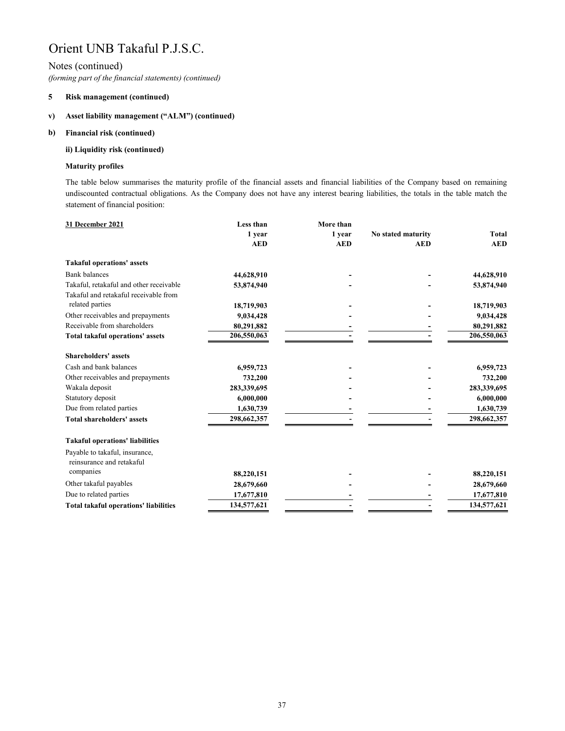# Notes (continued)

*(forming part of the financial statements) (continued)*

#### **5 Risk management (continued)**

#### **v) Asset liability management ("ALM") (continued)**

#### **b) Financial risk (continued)**

# **ii) Liquidity risk (continued)**

# **Maturity profiles**

The table below summarises the maturity profile of the financial assets and financial liabilities of the Company based on remaining undiscounted contractual obligations. As the Company does not have any interest bearing liabilities, the totals in the table match the statement of financial position:

| Less than   | More than  |                    |              |
|-------------|------------|--------------------|--------------|
| 1 year      | 1 year     | No stated maturity | <b>Total</b> |
| <b>AED</b>  | <b>AED</b> | <b>AED</b>         | <b>AED</b>   |
|             |            |                    |              |
| 44,628,910  |            |                    | 44,628,910   |
| 53,874,940  |            |                    | 53,874,940   |
|             |            |                    |              |
| 18,719,903  |            |                    | 18,719,903   |
| 9,034,428   |            |                    | 9,034,428    |
| 80,291,882  |            |                    | 80,291,882   |
| 206,550,063 |            |                    | 206,550,063  |
|             |            |                    |              |
| 6,959,723   |            |                    | 6,959,723    |
| 732,200     |            |                    | 732,200      |
| 283,339,695 |            |                    | 283,339,695  |
| 6,000,000   |            |                    | 6,000,000    |
| 1,630,739   |            |                    | 1,630,739    |
| 298,662,357 |            |                    | 298,662,357  |
|             |            |                    |              |
|             |            |                    |              |
| 88,220,151  |            |                    | 88,220,151   |
| 28,679,660  |            |                    | 28,679,660   |
| 17,677,810  |            |                    | 17,677,810   |
| 134,577,621 |            |                    | 134,577,621  |
|             |            |                    |              |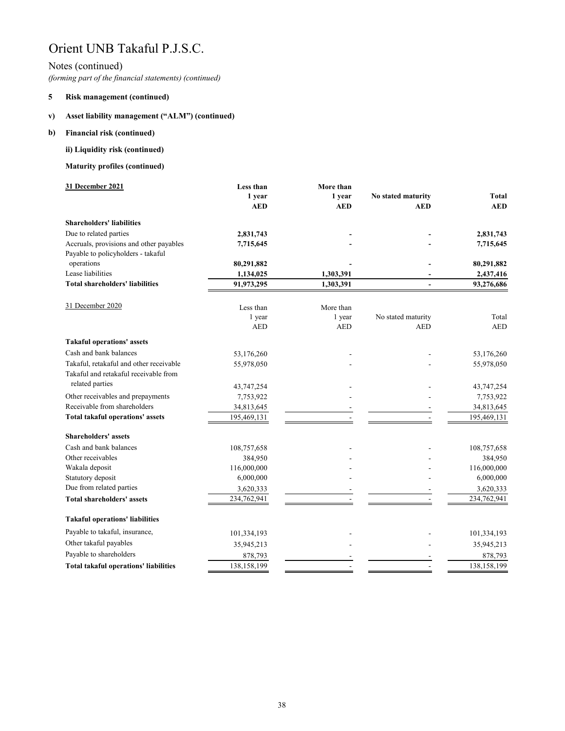# Notes (continued)

*(forming part of the financial statements) (continued)*

#### **5 Risk management (continued)**

#### **v) Asset liability management ("ALM") (continued)**

#### **b) Financial risk (continued)**

# **ii) Liquidity risk (continued)**

# **Maturity profiles (continued)**

| 31 December 2021                             | Less than   | More than            |                                  |              |
|----------------------------------------------|-------------|----------------------|----------------------------------|--------------|
|                                              | 1 year      | 1 year               | No stated maturity               | <b>Total</b> |
|                                              | <b>AED</b>  | <b>AED</b>           | <b>AED</b>                       | <b>AED</b>   |
| <b>Shareholders' liabilities</b>             |             |                      |                                  |              |
| Due to related parties                       | 2,831,743   |                      |                                  | 2,831,743    |
| Accruals, provisions and other payables      | 7,715,645   |                      |                                  | 7,715,645    |
| Payable to policyholders - takaful           |             |                      |                                  |              |
| operations                                   | 80,291,882  |                      |                                  | 80,291,882   |
| Lease liabilities                            | 1,134,025   | 1,303,391            |                                  | 2,437,416    |
| <b>Total shareholders' liabilities</b>       | 91,973,295  | 1,303,391            | $\overline{a}$                   | 93,276,686   |
| 31 December 2020                             |             |                      |                                  |              |
|                                              | Less than   | More than            |                                  |              |
|                                              | 1 year      | 1 year<br><b>AED</b> | No stated maturity<br><b>AED</b> | Total        |
|                                              | <b>AED</b>  |                      |                                  | <b>AED</b>   |
| <b>Takaful operations' assets</b>            |             |                      |                                  |              |
| Cash and bank balances                       | 53,176,260  |                      |                                  | 53,176,260   |
| Takaful, retakaful and other receivable      | 55,978,050  |                      |                                  | 55,978,050   |
| Takaful and retakaful receivable from        |             |                      |                                  |              |
| related parties                              | 43,747,254  |                      |                                  | 43,747,254   |
| Other receivables and prepayments            | 7,753,922   |                      |                                  | 7,753,922    |
| Receivable from shareholders                 | 34,813,645  |                      |                                  | 34,813,645   |
| Total takaful operations' assets             | 195,469,131 |                      |                                  | 195,469,131  |
| <b>Shareholders' assets</b>                  |             |                      |                                  |              |
| Cash and bank balances                       | 108,757,658 |                      |                                  | 108,757,658  |
| Other receivables                            | 384,950     |                      |                                  | 384,950      |
| Wakala deposit                               | 116,000,000 |                      |                                  | 116,000,000  |
| Statutory deposit                            | 6,000,000   |                      |                                  | 6,000,000    |
| Due from related parties                     | 3,620,333   |                      |                                  | 3,620,333    |
| <b>Total shareholders' assets</b>            | 234,762,941 |                      |                                  | 234,762,941  |
| <b>Takaful operations' liabilities</b>       |             |                      |                                  |              |
| Payable to takaful, insurance,               | 101,334,193 |                      |                                  | 101,334,193  |
| Other takaful payables                       | 35,945,213  |                      |                                  | 35,945,213   |
| Payable to shareholders                      | 878,793     |                      |                                  | 878,793      |
| <b>Total takaful operations' liabilities</b> | 138,158,199 |                      |                                  | 138,158,199  |
|                                              |             |                      |                                  |              |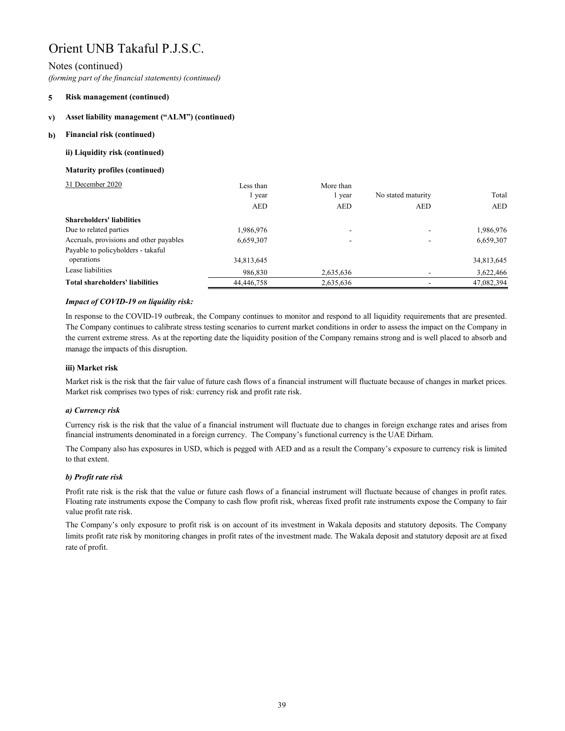# Notes (continued)

*(forming part of the financial statements) (continued)*

#### **5 Risk management (continued)**

#### **v) Asset liability management ("ALM") (continued)**

#### **b) Financial risk (continued)**

# **ii) Liquidity risk (continued)**

# **Maturity profiles (continued)**

| 31 December 2020                        | Less than  | More than  |                    |            |
|-----------------------------------------|------------|------------|--------------------|------------|
|                                         | 1 year     | l year     | No stated maturity | Total      |
|                                         | <b>AED</b> | <b>AED</b> | <b>AED</b>         | <b>AED</b> |
| <b>Shareholders' liabilities</b>        |            |            |                    |            |
| Due to related parties                  | 1,986,976  |            |                    | 1,986,976  |
| Accruals, provisions and other payables | 6,659,307  |            |                    | 6,659,307  |
| Payable to policyholders - takaful      |            |            |                    |            |
| operations                              | 34,813,645 |            |                    | 34,813,645 |
| Lease liabilities                       | 986,830    | 2,635,636  |                    | 3,622,466  |
| <b>Total shareholders' liabilities</b>  | 44,446,758 | 2,635,636  |                    | 47,082,394 |

# *Impact of COVID-19 on liquidity risk:*

In response to the COVID-19 outbreak, the Company continues to monitor and respond to all liquidity requirements that are presented. The Company continues to calibrate stress testing scenarios to current market conditions in order to assess the impact on the Company in the current extreme stress. As at the reporting date the liquidity position of the Company remains strong and is well placed to absorb and manage the impacts of this disruption.

# **iii) Market risk**

Market risk is the risk that the fair value of future cash flows of a financial instrument will fluctuate because of changes in market prices. Market risk comprises two types of risk: currency risk and profit rate risk.

# *a) Currency risk*

Currency risk is the risk that the value of a financial instrument will fluctuate due to changes in foreign exchange rates and arises from financial instruments denominated in a foreign currency. The Company's functional currency is the UAE Dirham.

The Company also has exposures in USD, which is pegged with AED and as a result the Company's exposure to currency risk is limited to that extent.

# *b) Profit rate risk*

Profit rate risk is the risk that the value or future cash flows of a financial instrument will fluctuate because of changes in profit rates. Floating rate instruments expose the Company to cash flow profit risk, whereas fixed profit rate instruments expose the Company to fair value profit rate risk.

The Company's only exposure to profit risk is on account of its investment in Wakala deposits and statutory deposits. The Company limits profit rate risk by monitoring changes in profit rates of the investment made. The Wakala deposit and statutory deposit are at fixed rate of profit.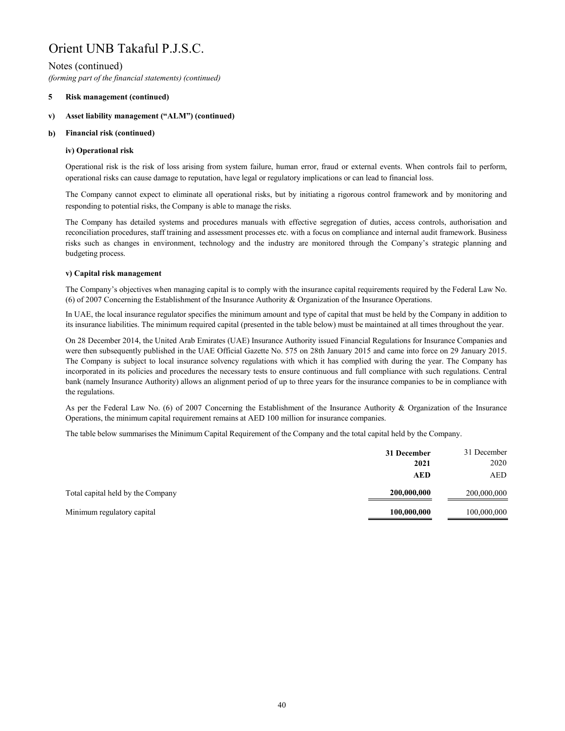# Notes (continued)

*(forming part of the financial statements) (continued)*

#### **5 Risk management (continued)**

#### **v) Asset liability management ("ALM") (continued)**

#### **b) Financial risk (continued)**

## **iv) Operational risk**

Operational risk is the risk of loss arising from system failure, human error, fraud or external events. When controls fail to perform, operational risks can cause damage to reputation, have legal or regulatory implications or can lead to financial loss.

The Company cannot expect to eliminate all operational risks, but by initiating a rigorous control framework and by monitoring and responding to potential risks, the Company is able to manage the risks.

The Company has detailed systems and procedures manuals with effective segregation of duties, access controls, authorisation and reconciliation procedures, staff training and assessment processes etc. with a focus on compliance and internal audit framework. Business risks such as changes in environment, technology and the industry are monitored through the Company's strategic planning and budgeting process.

## **v) Capital risk management**

The Company's objectives when managing capital is to comply with the insurance capital requirements required by the Federal Law No. (6) of 2007 Concerning the Establishment of the Insurance Authority & Organization of the Insurance Operations.

In UAE, the local insurance regulator specifies the minimum amount and type of capital that must be held by the Company in addition to its insurance liabilities. The minimum required capital (presented in the table below) must be maintained at all times throughout the year.

On 28 December 2014, the United Arab Emirates (UAE) Insurance Authority issued Financial Regulations for Insurance Companies and were then subsequently published in the UAE Official Gazette No. 575 on 28th January 2015 and came into force on 29 January 2015. The Company is subject to local insurance solvency regulations with which it has complied with during the year. The Company has incorporated in its policies and procedures the necessary tests to ensure continuous and full compliance with such regulations. Central bank (namely Insurance Authority) allows an alignment period of up to three years for the insurance companies to be in compliance with the regulations.

As per the Federal Law No. (6) of 2007 Concerning the Establishment of the Insurance Authority & Organization of the Insurance Operations, the minimum capital requirement remains at AED 100 million for insurance companies.

The table below summarises the Minimum Capital Requirement of the Company and the total capital held by the Company.

|                                   | 31 December | 31 December |
|-----------------------------------|-------------|-------------|
|                                   | 2021        | 2020        |
|                                   | <b>AED</b>  | AED         |
| Total capital held by the Company | 200,000,000 | 200,000,000 |
| Minimum regulatory capital        | 100,000,000 | 100,000,000 |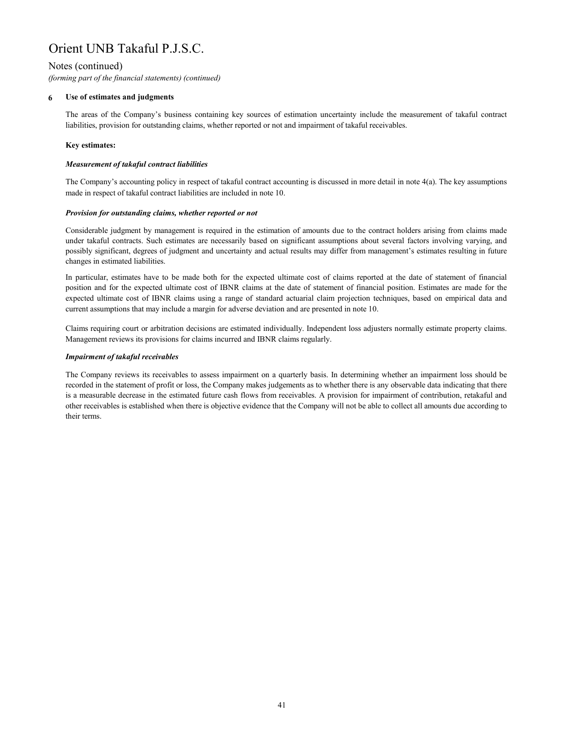# Notes (continued)

*(forming part of the financial statements) (continued)*

#### **6 Use of estimates and judgments**

The areas of the Company's business containing key sources of estimation uncertainty include the measurement of takaful contract liabilities, provision for outstanding claims, whether reported or not and impairment of takaful receivables.

# **Key estimates:**

# *Measurement of takaful contract liabilities*

The Company's accounting policy in respect of takaful contract accounting is discussed in more detail in note  $4(a)$ . The key assumptions made in respect of takaful contract liabilities are included in note 10.

## *Provision for outstanding claims, whether reported or not*

Considerable judgment by management is required in the estimation of amounts due to the contract holders arising from claims made under takaful contracts. Such estimates are necessarily based on significant assumptions about several factors involving varying, and possibly significant, degrees of judgment and uncertainty and actual results may differ from management's estimates resulting in future changes in estimated liabilities.

In particular, estimates have to be made both for the expected ultimate cost of claims reported at the date of statement of financial position and for the expected ultimate cost of IBNR claims at the date of statement of financial position. Estimates are made for the expected ultimate cost of IBNR claims using a range of standard actuarial claim projection techniques, based on empirical data and current assumptions that may include a margin for adverse deviation and are presented in note 10.

Claims requiring court or arbitration decisions are estimated individually. Independent loss adjusters normally estimate property claims. Management reviews its provisions for claims incurred and IBNR claims regularly.

# *Impairment of takaful receivables*

The Company reviews its receivables to assess impairment on a quarterly basis. In determining whether an impairment loss should be recorded in the statement of profit or loss, the Company makes judgements as to whether there is any observable data indicating that there is a measurable decrease in the estimated future cash flows from receivables. A provision for impairment of contribution, retakaful and other receivables is established when there is objective evidence that the Company will not be able to collect all amounts due according to their terms.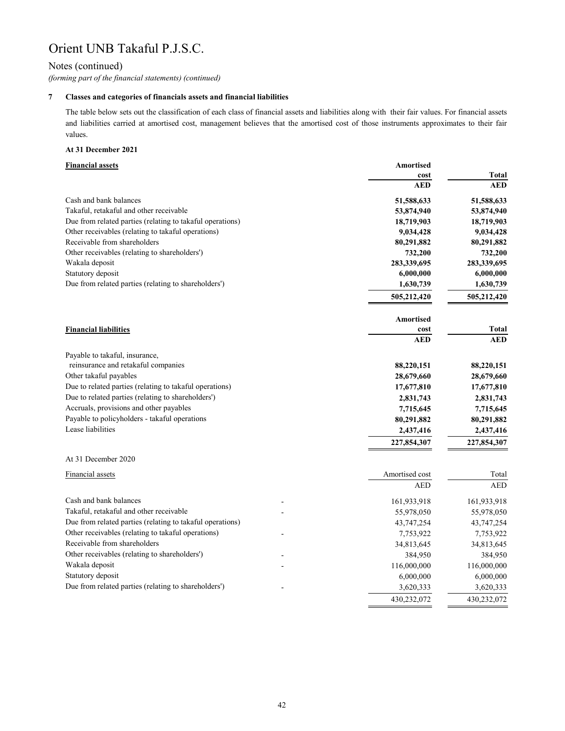# Notes (continued)

*(forming part of the financial statements) (continued)*

# **7 Classes and categories of financials assets and financial liabilities**

The table below sets out the classification of each class of financial assets and liabilities along with their fair values. For financial assets and liabilities carried at amortised cost, management believes that the amortised cost of those instruments approximates to their fair values.

## **At 31 December 2021**

# **Financial assets Amortised cost Total AED AED** Cash and bank balances **51,588,633 51,588,633**  Takaful, retakaful and other receivable **53,874,940 53,874,940**  Due from related parties (relating to takaful operations) 18,719,903 18,719,903 Other receivables (relating to takaful operations) **9,034,428 9,034,428**  Receivable from shareholders **80,291,882 80,291,882**  Other receivables (relating to shareholders') 732,200 732,200 732,200 Wakala deposit **283,339,695 283,339,695**  Statutory deposit **6,000,000 6,000,000**  Due from related parties (relating to shareholders') 1,630,739 1,630,739 1,630,739  **505,212,420 505,212,420 Financial liabilities Amortised cost Total AED AED 88,220,151 88,220,151**  Other takaful payables **28,679,660 28,679,660**  Due to related parties (relating to takaful operations) 17,677,810 17,677,810 17,677,810 Due to related parties (relating to shareholders') 2,831,743 2,831,743 Accruals, provisions and other payables **7,715,645** 7,715,645 Payable to policyholders - takaful operations **80,291,882** 80,291,882 Lease liabilities **2,437,416 2,437,416 227,854,307 227,854,307**  At 31 December 2020 Financial assets Total **Amortised cost** Total **Amortised cost** Total **Amortised cost** Total **Amortised cost** Total **Amortised cost** Total **Amortised cost** Total **Amortised cost** Total **Amortised cost** Total **Amortised cost** AED AED Cash and bank balances 161,933,918 161,933,918 161,933,918 Takaful, retakaful and other receivable  $55,978,050$   $55,978,050$   $55,978,050$ Due from related parties (relating to takaful operations) 43,747,254 43,747,254 43,747,254 Other receivables (relating to takaful operations)  $7,753,922$   $7,753,922$   $7,753,922$ Receivable from shareholders 34,813,645 34,813,645 Other receivables (relating to shareholders') and the state of the state of the state of the state of 384,950 384,950 384,950 384,950 Wakala deposit 116,000,000 116,000,000 116,000,000 116,000,000 Statutory deposit 6,000,000 6,000,000 Due from related parties (relating to shareholders') and the state of the state of 3,620,333 3,620,333 430,232,072 430,232,072 Payable to takaful, insurance, reinsurance and retakaful companies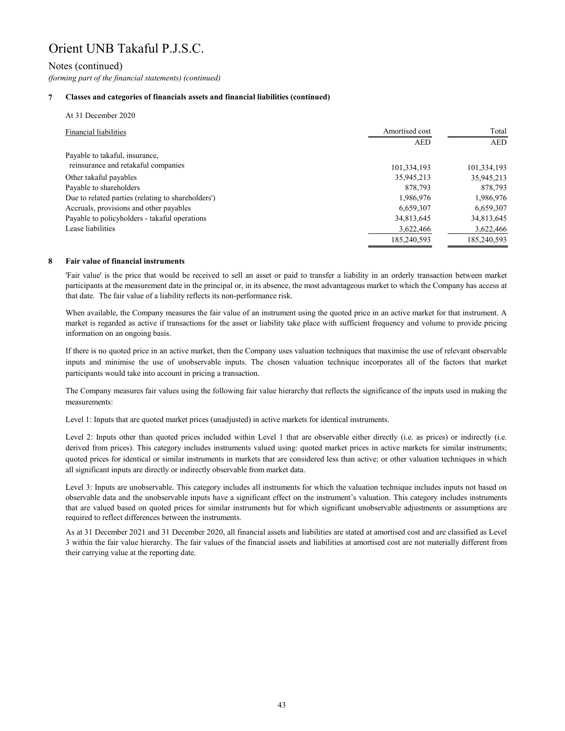# Notes (continued)

*(forming part of the financial statements) (continued)*

# **7 Classes and categories of financials assets and financial liabilities (continued)**

| At 31 December 2020                                |                |             |
|----------------------------------------------------|----------------|-------------|
| <b>Financial liabilities</b>                       | Amortised cost | Total       |
|                                                    | <b>AED</b>     | <b>AED</b>  |
| Payable to takaful, insurance,                     |                |             |
| reinsurance and retakaful companies                | 101,334,193    | 101,334,193 |
| Other takaful payables                             | 35,945,213     | 35,945,213  |
| Payable to shareholders                            | 878,793        | 878,793     |
| Due to related parties (relating to shareholders') | 1,986,976      | 1,986,976   |
| Accruals, provisions and other payables            | 6,659,307      | 6,659,307   |
| Payable to policyholders - takaful operations      | 34,813,645     | 34,813,645  |
| Lease liabilities                                  | 3,622,466      | 3,622,466   |
|                                                    | 185,240,593    | 185,240,593 |

#### **8 Fair value of financial instruments**

'Fair value' is the price that would be received to sell an asset or paid to transfer a liability in an orderly transaction between market participants at the measurement date in the principal or, in its absence, the most advantageous market to which the Company has access at that date. The fair value of a liability reflects its non-performance risk.

When available, the Company measures the fair value of an instrument using the quoted price in an active market for that instrument. A market is regarded as active if transactions for the asset or liability take place with sufficient frequency and volume to provide pricing information on an ongoing basis.

If there is no quoted price in an active market, then the Company uses valuation techniques that maximise the use of relevant observable inputs and minimise the use of unobservable inputs. The chosen valuation technique incorporates all of the factors that market participants would take into account in pricing a transaction.

The Company measures fair values using the following fair value hierarchy that reflects the significance of the inputs used in making the measurements:

Level 1: Inputs that are quoted market prices (unadjusted) in active markets for identical instruments.

Level 2: Inputs other than quoted prices included within Level 1 that are observable either directly (i.e. as prices) or indirectly (i.e. derived from prices). This category includes instruments valued using: quoted market prices in active markets for similar instruments; quoted prices for identical or similar instruments in markets that are considered less than active; or other valuation techniques in which all significant inputs are directly or indirectly observable from market data.

Level 3: Inputs are unobservable. This category includes all instruments for which the valuation technique includes inputs not based on observable data and the unobservable inputs have a significant effect on the instrument's valuation. This category includes instruments that are valued based on quoted prices for similar instruments but for which significant unobservable adjustments or assumptions are required to reflect differences between the instruments.

As at 31 December 2021 and 31 December 2020, all financial assets and liabilities are stated at amortised cost and are classified as Level 3 within the fair value hierarchy. The fair values of the financial assets and liabilities at amortised cost are not materially different from their carrying value at the reporting date.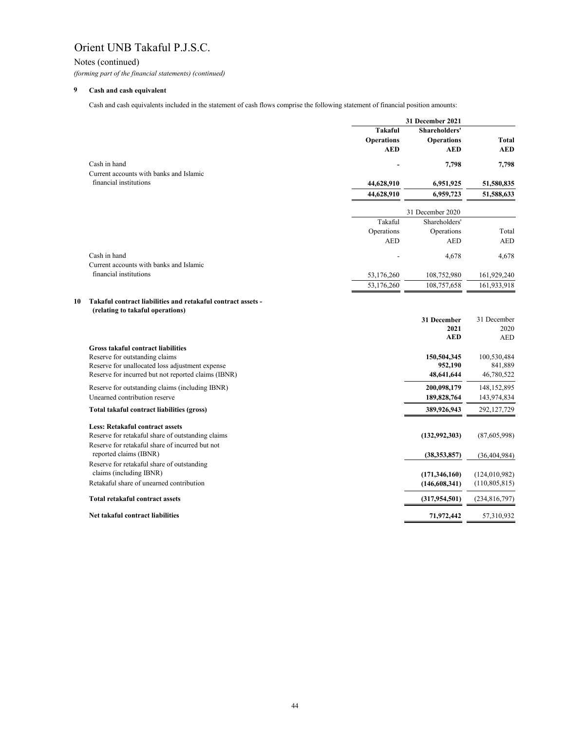Notes (continued)

*(forming part of the financial statements) (continued)*

#### **9 Cash and cash equivalent**

|    |                                                                                   |                   | 31 December 2021       |                        |
|----|-----------------------------------------------------------------------------------|-------------------|------------------------|------------------------|
|    |                                                                                   | <b>Takaful</b>    | <b>Shareholders'</b>   |                        |
|    |                                                                                   | <b>Operations</b> | <b>Operations</b>      | <b>Total</b>           |
|    |                                                                                   | <b>AED</b>        | <b>AED</b>             | <b>AED</b>             |
|    | Cash in hand                                                                      |                   | 7,798                  | 7,798                  |
|    | Current accounts with banks and Islamic                                           |                   |                        |                        |
|    | financial institutions                                                            | 44,628,910        | 6,951,925              | 51,580,835             |
|    |                                                                                   | 44,628,910        | 6,959,723              | 51,588,633             |
|    |                                                                                   |                   | 31 December 2020       |                        |
|    |                                                                                   | Takaful           | Shareholders'          |                        |
|    |                                                                                   | Operations        | Operations             | Total                  |
|    |                                                                                   | <b>AED</b>        | <b>AED</b>             | <b>AED</b>             |
|    | Cash in hand                                                                      |                   | 4,678                  | 4,678                  |
|    | Current accounts with banks and Islamic                                           |                   |                        |                        |
|    | financial institutions                                                            | 53,176,260        | 108,752,980            | 161,929,240            |
|    |                                                                                   | 53,176,260        | 108,757,658            | 161,933,918            |
| 10 | Takaful contract liabilities and retakaful contract assets -                      |                   |                        |                        |
|    | (relating to takaful operations)                                                  |                   |                        |                        |
|    |                                                                                   |                   | 31 December            | 31 December            |
|    |                                                                                   |                   | 2021                   | 2020                   |
|    |                                                                                   |                   | <b>AED</b>             | <b>AED</b>             |
|    | <b>Gross takaful contract liabilities</b>                                         |                   |                        |                        |
|    | Reserve for outstanding claims<br>Reserve for unallocated loss adjustment expense |                   | 150,504,345<br>952,190 | 100,530,484<br>841,889 |
|    | Reserve for incurred but not reported claims (IBNR)                               |                   | 48,641,644             | 46,780,522             |
|    | Reserve for outstanding claims (including IBNR)                                   |                   | 200,098,179            | 148, 152, 895          |
|    | Unearned contribution reserve                                                     |                   | 189,828,764            | 143,974,834            |
|    | Total takaful contract liabilities (gross)                                        |                   | 389,926,943            | 292,127,729            |
|    | <b>Less: Retakaful contract assets</b>                                            |                   |                        |                        |
|    | Reserve for retakaful share of outstanding claims                                 |                   | (132, 992, 303)        | (87,605,998)           |
|    | Reserve for retakaful share of incurred but not                                   |                   |                        |                        |
|    | reported claims (IBNR)                                                            |                   | (38, 353, 857)         | (36, 404, 984)         |
|    | Reserve for retakaful share of outstanding                                        |                   |                        |                        |
|    | claims (including IBNR)                                                           |                   | (171, 346, 160)        | (124, 010, 982)        |
|    | Retakaful share of unearned contribution                                          |                   | (146, 608, 341)        | (110, 805, 815)        |
|    | <b>Total retakaful contract assets</b>                                            |                   | (317, 954, 501)        | (234, 816, 797)        |
|    | Net takaful contract liabilities                                                  |                   | 71,972,442             | 57,310,932             |
|    |                                                                                   |                   |                        |                        |

Cash and cash equivalents included in the statement of cash flows comprise the following statement of financial position amounts: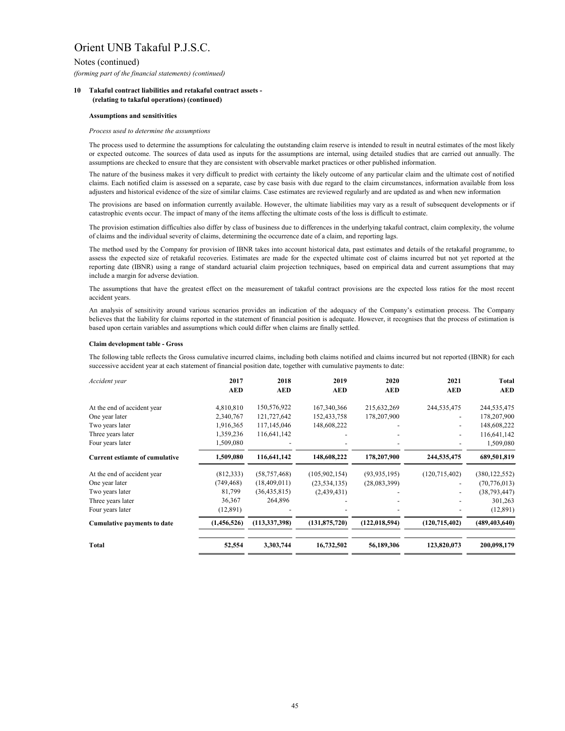# Notes (continued)

*(forming part of the financial statements) (continued)*

# **10 Takaful contract liabilities and retakaful contract assets - (relating to takaful operations) (continued)**

### **Claim development table - Gross**

The process used to determine the assumptions for calculating the outstanding claim reserve is intended to result in neutral estimates of the most likely or expected outcome. The sources of data used as inputs for the assumptions are internal, using detailed studies that are carried out annually. The assumptions are checked to ensure that they are consistent with observable market practices or other published information.

| Accident year                         | 2017        | 2018            | 2019            | 2020            | 2021            | <b>Total</b>    |
|---------------------------------------|-------------|-----------------|-----------------|-----------------|-----------------|-----------------|
|                                       | <b>AED</b>  | <b>AED</b>      | <b>AED</b>      | <b>AED</b>      | <b>AED</b>      | <b>AED</b>      |
| At the end of accident year           | 4,810,810   | 150,576,922     | 167,340,366     | 215,632,269     | 244,535,475     | 244,535,475     |
| One year later                        | 2,340,767   | 121,727,642     | 152,433,758     | 178,207,900     |                 | 178,207,900     |
| Two years later                       | 1,916,365   | 117,145,046     | 148,608,222     |                 |                 | 148,608,222     |
| Three years later                     | 1,359,236   | 116,641,142     |                 |                 |                 | 116,641,142     |
| Four years later                      | 1,509,080   |                 |                 |                 |                 | 1,509,080       |
| <b>Current estiamte of cumulative</b> | 1,509,080   | 116,641,142     | 148,608,222     | 178,207,900     | 244,535,475     | 689,501,819     |
| At the end of accident year           | (812, 333)  | (58, 757, 468)  | (105,902,154)   | (93, 935, 195)  | (120, 715, 402) | (380, 122, 552) |
| One year later                        | (749, 468)  | (18,409,011)    | (23, 534, 135)  | (28,083,399)    |                 | (70, 776, 013)  |
| Two years later                       | 81,799      | (36, 435, 815)  | (2,439,431)     |                 |                 | (38, 793, 447)  |
| Three years later                     | 36,367      | 264,896         |                 |                 |                 | 301,263         |
| Four years later                      | (12,891)    |                 |                 |                 |                 | (12,891)        |
| <b>Cumulative payments to date</b>    | (1,456,526) | (113, 337, 398) | (131, 875, 720) | (122, 018, 594) | (120, 715, 402) | (489, 403, 640) |
| <b>Total</b>                          | 52,554      | 3,303,744       | 16,732,502      | 56,189,306      | 123,820,073     | 200,098,179     |
|                                       |             |                 |                 |                 |                 |                 |

The provisions are based on information currently available. However, the ultimate liabilities may vary as a result of subsequent developments or if catastrophic events occur. The impact of many of the items affecting the ultimate costs of the loss is difficult to estimate.

An analysis of sensitivity around various scenarios provides an indication of the adequacy of the Company's estimation process. The Company believes that the liability for claims reported in the statement of financial position is adequate. However, it recognises that the process of estimation is based upon certain variables and assumptions which could differ when claims are finally settled.

The assumptions that have the greatest effect on the measurement of takaful contract provisions are the expected loss ratios for the most recent accident years.

The following table reflects the Gross cumulative incurred claims, including both claims notified and claims incurred but not reported (IBNR) for each successive accident year at each statement of financial position date, together with cumulative payments to date:

The method used by the Company for provision of IBNR takes into account historical data, past estimates and details of the retakaful programme, to assess the expected size of retakaful recoveries. Estimates are made for the expected ultimate cost of claims incurred but not yet reported at the reporting date (IBNR) using a range of standard actuarial claim projection techniques, based on empirical data and current assumptions that may include a margin for adverse deviation.

The provision estimation difficulties also differ by class of business due to differences in the underlying takaful contract, claim complexity, the volume of claims and the individual severity of claims, determining the occurrence date of a claim, and reporting lags.

### *Process used to determine the assumptions*

The nature of the business makes it very difficult to predict with certainty the likely outcome of any particular claim and the ultimate cost of notified claims. Each notified claim is assessed on a separate, case by case basis with due regard to the claim circumstances, information available from loss adjusters and historical evidence of the size of similar claims. Case estimates are reviewed regularly and are updated as and when new information

### **Assumptions and sensitivities**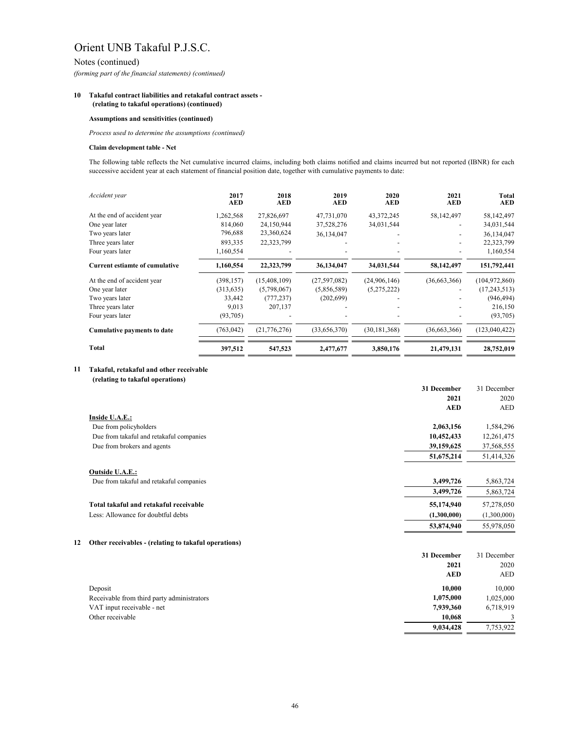Notes (continued)

*(forming part of the financial statements) (continued)*

## **10 Takaful contract liabilities and retakaful contract assets - (relating to takaful operations) (continued)**

## **Claim development table - Net**

# **11 Takaful, retakaful and other receivable**

 **(relating to takaful operations)**

| Accident year                         | 2017<br>AED | 2018<br><b>AED</b> | 2019<br><b>AED</b> | 2020<br><b>AED</b> | 2021<br><b>AED</b> | Total<br><b>AED</b> |
|---------------------------------------|-------------|--------------------|--------------------|--------------------|--------------------|---------------------|
| At the end of accident year           | 1,262,568   | 27,826,697         | 47,731,070         | 43, 372, 245       | 58,142,497         | 58,142,497          |
| One year later                        | 814,060     | 24,150,944         | 37,528,276         | 34,031,544         |                    | 34,031,544          |
| Two years later                       | 796,688     | 23,360,624         | 36,134,047         |                    |                    | 36,134,047          |
| Three years later                     | 893,335     | 22,323,799         |                    |                    |                    | 22,323,799          |
| Four years later                      | 1,160,554   |                    |                    |                    |                    | 1,160,554           |
| <b>Current estiamte of cumulative</b> | 1,160,554   | 22,323,799         | 36,134,047         | 34,031,544         | 58,142,497         | 151,792,441         |
| At the end of accident year           | (398, 157)  | (15, 408, 109)     | (27,597,082)       | (24,906,146)       | (36,663,366)       | (104, 972, 860)     |
| One year later                        | (313, 635)  | (5,798,067)        | (5,856,589)        | (5,275,222)        |                    | (17,243,513)        |
| Two years later                       | 33,442      | (777, 237)         | (202, 699)         |                    |                    | (946, 494)          |
| Three years later                     | 9,013       | 207,137            |                    |                    |                    | 216,150             |
| Four years later                      | (93,705)    |                    |                    |                    |                    | (93,705)            |
| <b>Cumulative payments to date</b>    | (763, 042)  | (21,776,276)       | (33,656,370)       | (30, 181, 368)     | (36,663,366)       | (123, 040, 422)     |
| <b>Total</b>                          | 397,512     | 547,523            | 2,477,677          | 3,850,176          | 21,479,131         | 28,752,019          |

|                                          | 31 December | 31 December |
|------------------------------------------|-------------|-------------|
|                                          | 2021        | 2020        |
|                                          | <b>AED</b>  | AED         |
| Inside U.A.E.:                           |             |             |
| Due from policyholders                   | 2,063,156   | 1,584,296   |
| Due from takaful and retakaful companies | 10,452,433  | 12,261,475  |
| Due from brokers and agents              | 39,159,625  | 37,568,555  |
|                                          | 51,675,214  | 51,414,326  |
| <b>Outside U.A.E.:</b>                   |             |             |
| Due from takaful and retakaful companies | 3,499,726   | 5,863,724   |
|                                          | 3,499,726   | 5,863,724   |
| Total takaful and retakaful receivable   | 55,174,940  | 57,278,050  |
| Less: Allowance for doubtful debts       | (1,300,000) | (1,300,000) |
|                                          | 53,874,940  | 55,978,050  |

# **12 Other receivables - (relating to takaful operations)**

|            | 31 December 31 December |
|------------|-------------------------|
| 2020       | 2021                    |
| <b>AED</b> | AED                     |

| Deposit                                    | 10,000    | 10.000    |
|--------------------------------------------|-----------|-----------|
| Receivable from third party administrators | 1,075,000 | 1,025,000 |
| VAT input receivable - net                 | 7,939,360 | 6,718,919 |
| Other receivable                           | 10,068    |           |
|                                            | 9,034,428 | 7,753,922 |

# **Assumptions and sensitivities (continued)**

*Process used to determine the assumptions (continued)*

The following table reflects the Net cumulative incurred claims, including both claims notified and claims incurred but not reported (IBNR) for each successive accident year at each statement of financial position date, together with cumulative payments to date: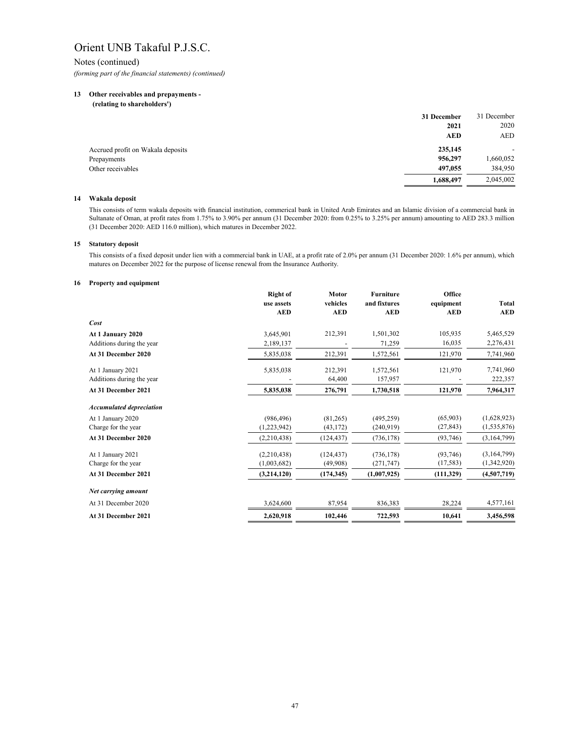Notes (continued) *(forming part of the financial statements) (continued)*

# **13 Other receivables and prepayments -**

 **(relating to shareholders')**

|                                   | 31 December | 31 December |
|-----------------------------------|-------------|-------------|
|                                   | 2021        | 2020        |
|                                   | <b>AED</b>  | AED         |
| Accrued profit on Wakala deposits | 235,145     |             |
| Prepayments                       | 956,297     | 1,660,052   |
| Other receivables                 | 497,055     | 384,950     |
|                                   | 1,688,497   | 2,045,002   |

## **14 Wakala deposit**

### **15 Statutory deposit**

### **16 Property and equipment**

|                                 | <b>Right of</b><br>use assets | <b>Motor</b><br>vehicles | <b>Furniture</b><br>and fixtures | Office<br>equipment | <b>Total</b>  |
|---------------------------------|-------------------------------|--------------------------|----------------------------------|---------------------|---------------|
|                                 | <b>AED</b>                    | <b>AED</b>               | <b>AED</b>                       | <b>AED</b>          | <b>AED</b>    |
| Cost                            |                               |                          |                                  |                     |               |
| At 1 January 2020               | 3,645,901                     | 212,391                  | 1,501,302                        | 105,935             | 5,465,529     |
| Additions during the year       | 2,189,137                     |                          | 71,259                           | 16,035              | 2,276,431     |
| At 31 December 2020             | 5,835,038                     | 212,391                  | 1,572,561                        | 121,970             | 7,741,960     |
| At 1 January 2021               | 5,835,038                     | 212,391                  | 1,572,561                        | 121,970             | 7,741,960     |
| Additions during the year       |                               | 64,400                   | 157,957                          |                     | 222,357       |
| At 31 December 2021             | 5,835,038                     | 276,791                  | 1,730,518                        | 121,970             | 7,964,317     |
| <b>Accumulated depreciation</b> |                               |                          |                                  |                     |               |
| At 1 January 2020               | (986, 496)                    | (81,265)                 | (495, 259)                       | (65,903)            | (1,628,923)   |
| Charge for the year             | (1,223,942)                   | (43, 172)                | (240, 919)                       | (27, 843)           | (1, 535, 876) |
| At 31 December 2020             | (2,210,438)                   | (124, 437)               | (736, 178)                       | (93,746)            | (3,164,799)   |
| At 1 January 2021               | (2,210,438)                   | (124, 437)               | (736, 178)                       | (93,746)            | (3,164,799)   |
| Charge for the year             | (1,003,682)                   | (49,908)                 | (271, 747)                       | (17,583)            | (1,342,920)   |
| At 31 December 2021             | (3,214,120)                   | (174, 345)               | (1,007,925)                      | (111,329)           | (4,507,719)   |
| Net carrying amount             |                               |                          |                                  |                     |               |
| At 31 December 2020             | 3,624,600                     | 87,954                   | 836,383                          | 28,224              | 4,577,161     |
| At 31 December 2021             | 2,620,918                     | 102,446                  | 722,593                          | 10,641              | 3,456,598     |

This consists of term wakala deposits with financial institution, commerical bank in United Arab Emirates and an Islamic division of a commercial bank in Sultanate of Oman, at profit rates from 1.75% to 3.90% per annum (31 December 2020: from 0.25% to 3.25% per annum) amounting to AED 283.3 million (31 December 2020: AED 116.0 million), which matures in December 2022.

This consists of a fixed deposit under lien with a commercial bank in UAE, at a profit rate of 2.0% per annum (31 December 2020: 1.6% per annum), which matures on December 2022 for the purpose of license renewal from the Insurance Authority.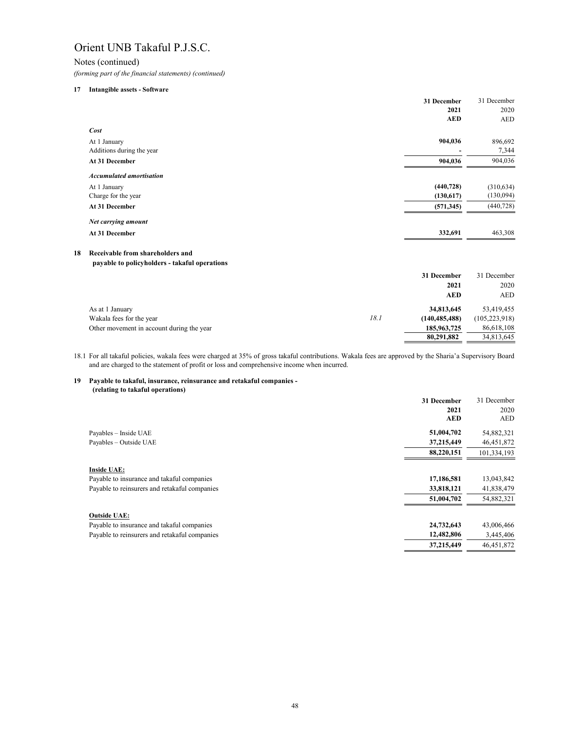Notes (continued)

*(forming part of the financial statements) (continued)*

### **17 Intangible assets - Software**

|                                 | 31 December | 31 December |
|---------------------------------|-------------|-------------|
|                                 | 2021        | 2020        |
|                                 | <b>AED</b>  | <b>AED</b>  |
| Cost                            |             |             |
| At 1 January                    | 904,036     | 896,692     |
| Additions during the year       |             | 7,344       |
| At 31 December                  | 904,036     | 904,036     |
| <b>Accumulated amortisation</b> |             |             |
| At 1 January                    | (440, 728)  | (310, 634)  |
| Charge for the year             | (130,617)   | (130,094)   |
| At 31 December                  | (571, 345)  | (440, 728)  |
| Net carrying amount             |             |             |
| At 31 December                  | 332,691     | 463,308     |

# **18 Receivable from shareholders and**

## **payable to policyholders - takaful operations**

|                                           |      | 31 December     | 31 December     |
|-------------------------------------------|------|-----------------|-----------------|
|                                           |      | 2021            | 2020            |
|                                           |      | <b>AED</b>      | <b>AED</b>      |
| As at 1 January                           |      | 34,813,645      | 53,419,455      |
| Wakala fees for the year                  | 18.1 | (140, 485, 488) | (105, 223, 918) |
| Other movement in account during the year |      | 185,963,725     | 86,618,108      |
|                                           |      | 80,291,882      | 34,813,645      |

# **19 Payable to takaful, insurance, reinsurance and retakaful companies - (relating to takaful operations)**

|                                               | 31 December | 31 December  |
|-----------------------------------------------|-------------|--------------|
|                                               | 2021        | 2020         |
|                                               | <b>AED</b>  | <b>AED</b>   |
| Payables - Inside UAE                         | 51,004,702  | 54,882,321   |
| Payables - Outside UAE                        | 37,215,449  | 46, 451, 872 |
|                                               | 88,220,151  | 101,334,193  |
| <b>Inside UAE:</b>                            |             |              |
| Payable to insurance and takaful companies    | 17,186,581  | 13,043,842   |
| Payable to reinsurers and retakaful companies | 33,818,121  | 41,838,479   |
|                                               | 51,004,702  | 54,882,321   |
| <b>Outside UAE:</b>                           |             |              |
| Payable to insurance and takaful companies    | 24,732,643  | 43,006,466   |
| Payable to reinsurers and retakaful companies | 12,482,806  | 3,445,406    |
|                                               | 37,215,449  | 46,451,872   |

18.1 For all takaful policies, wakala fees were charged at 35% of gross takaful contributions. Wakala fees are approved by the Sharia'a Supervisory Board and are charged to the statement of profit or loss and comprehensive income when incurred.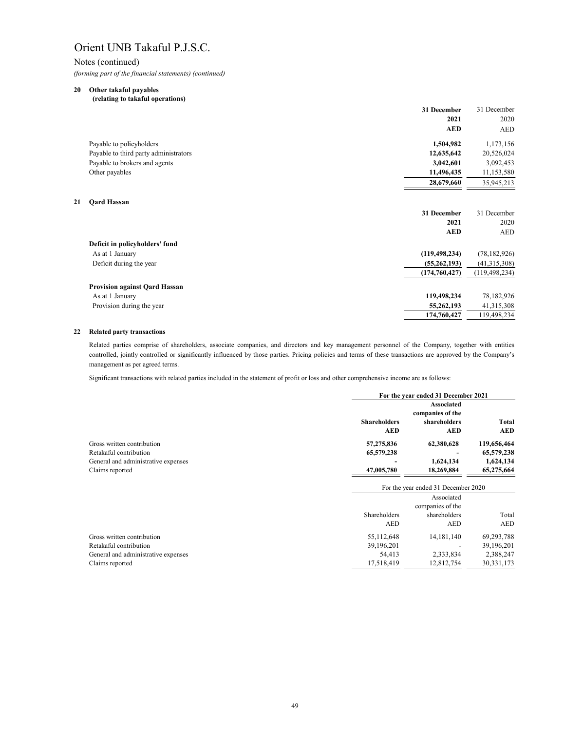# Notes (continued)

*(forming part of the financial statements) (continued)*

# **20 Other takaful payables**

 **(relating to takaful operations)**

|    |                                       | 31 December     | 31 December     |
|----|---------------------------------------|-----------------|-----------------|
|    |                                       | 2021            | 2020            |
|    |                                       | <b>AED</b>      | <b>AED</b>      |
|    | Payable to policyholders              | 1,504,982       | 1,173,156       |
|    | Payable to third party administrators | 12,635,642      | 20,526,024      |
|    | Payable to brokers and agents         | 3,042,601       | 3,092,453       |
|    | Other payables                        | 11,496,435      | 11,153,580      |
|    |                                       | 28,679,660      | 35,945,213      |
| 21 | <b>Qard Hassan</b>                    |                 |                 |
|    |                                       | 31 December     | 31 December     |
|    |                                       | 2021            | 2020            |
|    |                                       |                 |                 |
|    |                                       | <b>AED</b>      | <b>AED</b>      |
|    | Deficit in policyholders' fund        |                 |                 |
|    | As at 1 January                       | (119, 498, 234) | (78, 182, 926)  |
|    | Deficit during the year               | (55,262,193)    | (41,315,308)    |
|    |                                       | (174, 760, 427) | (119, 498, 234) |
|    | <b>Provision against Qard Hassan</b>  |                 |                 |
|    | As at 1 January                       | 119,498,234     | 78,182,926      |
|    | Provision during the year             | 55,262,193      | 41,315,308      |
|    |                                       | 174,760,427     | 119,498,234     |
|    |                                       |                 |                 |

# **22 Related party transactions**

|                                     |                                   | For the year ended 31 December 2021                                 |                            |
|-------------------------------------|-----------------------------------|---------------------------------------------------------------------|----------------------------|
|                                     | <b>Shareholders</b><br><b>AED</b> | <b>Associated</b><br>companies of the<br>shareholders<br><b>AED</b> | <b>Total</b><br><b>AED</b> |
| Gross written contribution          | 57,275,836                        | 62,380,628                                                          | 119,656,464                |
| Retakaful contribution              | 65,579,238                        |                                                                     | 65,579,238                 |
| General and administrative expenses |                                   | 1,624,134                                                           | 1,624,134                  |
| Claims reported                     | 47,005,780                        | 18,269,884                                                          | 65,275,664                 |
|                                     |                                   | For the year ended 31 December 2020                                 |                            |
|                                     |                                   | Associated                                                          |                            |
|                                     |                                   | companies of the                                                    |                            |
|                                     | Shareholders                      | shareholders                                                        | Total                      |
|                                     | <b>AED</b>                        | <b>AED</b>                                                          | <b>AED</b>                 |
| Gross written contribution          | 55,112,648                        | 14, 181, 140                                                        | 69,293,788                 |
| Retakaful contribution              | 39,196,201                        |                                                                     | 39,196,201                 |
| General and administrative expenses | 54,413                            | 2,333,834                                                           | 2,388,247                  |
| Claims reported                     | 17,518,419                        | 12,812,754                                                          | 30, 331, 173               |

Significant transactions with related parties included in the statement of profit or loss and other comprehensive income are as follows:

Related parties comprise of shareholders, associate companies, and directors and key management personnel of the Company, together with entities controlled, jointly controlled or significantly influenced by those parties. Pricing policies and terms of these transactions are approved by the Company's management as per agreed terms.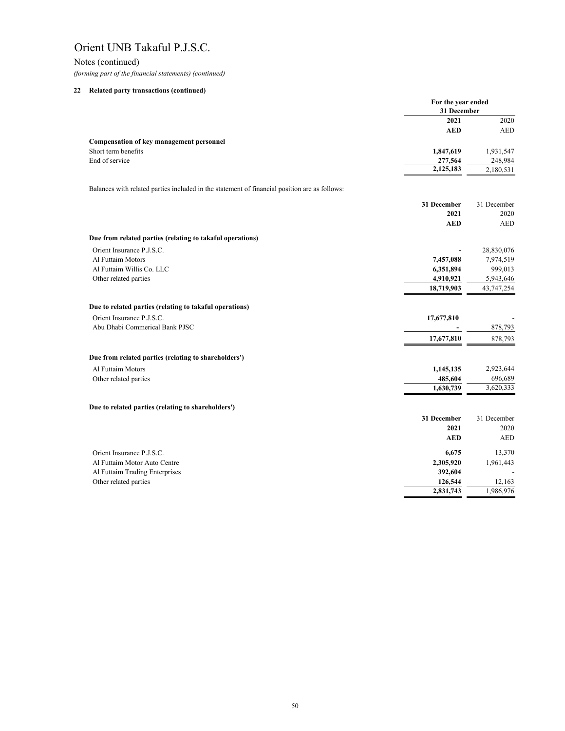Notes (continued) *(forming part of the financial statements) (continued)*

# **22 Related party transactions (continued)**

|                                                                                               | For the year ended<br>31 December |             |
|-----------------------------------------------------------------------------------------------|-----------------------------------|-------------|
|                                                                                               | 2021                              | 2020        |
|                                                                                               | <b>AED</b>                        | <b>AED</b>  |
| <b>Compensation of key management personnel</b>                                               |                                   |             |
| Short term benefits                                                                           | 1,847,619                         | 1,931,547   |
| End of service                                                                                | 277,564                           | 248,984     |
|                                                                                               | 2,125,183                         | 2,180,531   |
| Balances with related parties included in the statement of financial position are as follows: |                                   |             |
|                                                                                               | 31 December                       | 31 December |
|                                                                                               | 2021                              | 2020        |
|                                                                                               | <b>AED</b>                        | <b>AED</b>  |
| Due from related parties (relating to takaful operations)                                     |                                   |             |
| Orient Insurance P.J.S.C.                                                                     |                                   | 28,830,076  |
| Al Futtaim Motors                                                                             | 7,457,088                         | 7,974,519   |
| Al Futtaim Willis Co. LLC                                                                     | 6,351,894                         | 999,013     |
| Other related parties                                                                         | 4,910,921                         | 5,943,646   |
|                                                                                               | 18,719,903                        | 43,747,254  |
| Due to related parties (relating to takaful operations)                                       |                                   |             |
| Orient Insurance P.J.S.C.                                                                     | 17,677,810                        |             |
| Abu Dhabi Commerical Bank PJSC                                                                |                                   | 878,793     |
|                                                                                               | 17,677,810                        | 878,793     |
| Due from related parties (relating to shareholders')                                          |                                   |             |
| Al Futtaim Motors                                                                             | 1,145,135                         | 2,923,644   |
| Other related parties                                                                         | 485,604                           | 696,689     |
|                                                                                               | 1,630,739                         | 3,620,333   |
| Due to related parties (relating to shareholders')                                            |                                   |             |
|                                                                                               | 31 December                       | 31 December |
|                                                                                               | 2021                              | 2020        |
|                                                                                               | <b>AED</b>                        | <b>AED</b>  |
| Orient Insurance P.J.S.C.                                                                     | 6,675                             | 13,370      |
| Al Futtaim Motor Auto Centre                                                                  | 2,305,920                         | 1,961,443   |
| Al Futtaim Trading Enterprises                                                                | 392,604                           |             |
| Other related parties                                                                         | 126,544                           | 12,163      |
|                                                                                               | 2,831,743                         | 1,986,976   |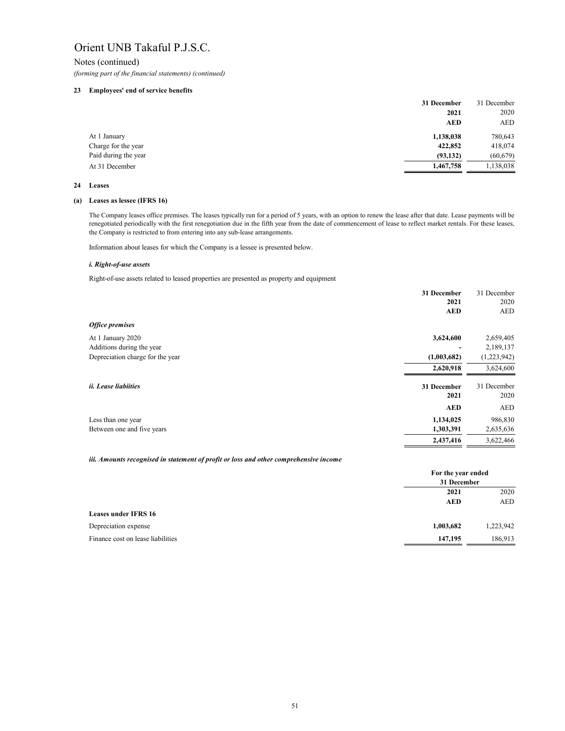Notes (continued) *(forming part of the financial statements) (continued)*

## **23 Employees' end of service benefits**

|                      | 31 December | 31 December |
|----------------------|-------------|-------------|
|                      | 2021        | 2020        |
|                      | <b>AED</b>  | AED         |
| At 1 January         | 1,138,038   | 780,643     |
| Charge for the year  | 422,852     | 418,074     |
| Paid during the year | (93, 132)   | (60, 679)   |
| At 31 December       | 1,467,758   | 1,138,038   |

### **24 Leases**

### **(a) Leases as lessee (IFRS 16)**

|                                  | 31 December         | 31 December         |
|----------------------------------|---------------------|---------------------|
|                                  | 2021                | 2020                |
|                                  | <b>AED</b>          | <b>AED</b>          |
| <b>Office premises</b>           |                     |                     |
| At 1 January 2020                | 3,624,600           | 2,659,405           |
| Additions during the year        |                     | 2,189,137           |
| Depreciation charge for the year | (1,003,682)         | (1,223,942)         |
|                                  | 2,620,918           | 3,624,600           |
| <i>ii. Lease liabiities</i>      | 31 December<br>2021 | 31 December<br>2020 |
|                                  | <b>AED</b>          | <b>AED</b>          |
| Less than one year               | 1,134,025           | 986,830             |
| Between one and five years       | 1,303,391           | 2,635,636           |
|                                  | 2,437,416           | 3,622,466           |

|                                   | For the year ended<br>31 December |           |
|-----------------------------------|-----------------------------------|-----------|
|                                   | 2021                              | 2020      |
|                                   | <b>AED</b>                        | AED       |
| <b>Leases under IFRS 16</b>       |                                   |           |
| Depreciation expense              | 1,003,682                         | 1,223,942 |
| Finance cost on lease liabilities | 147,195                           | 186,913   |

Information about leases for which the Company is a lessee is presented below.

### *i. Right-of-use assets*

Right-of-use assets related to leased properties are presented as property and equipment

The Company leases office premises. The leases typically run for a period of 5 years, with an option to renew the lease after that date. Lease payments will be renegotiated periodically with the first renegotiation due in the fifth year from the date of commencement of lease to reflect market rentals. For these leases, the Company is restricted to from entering into any sub-lease arrangements.

### *iii. Amounts recognised in statement of profit or loss and other comprehensive income*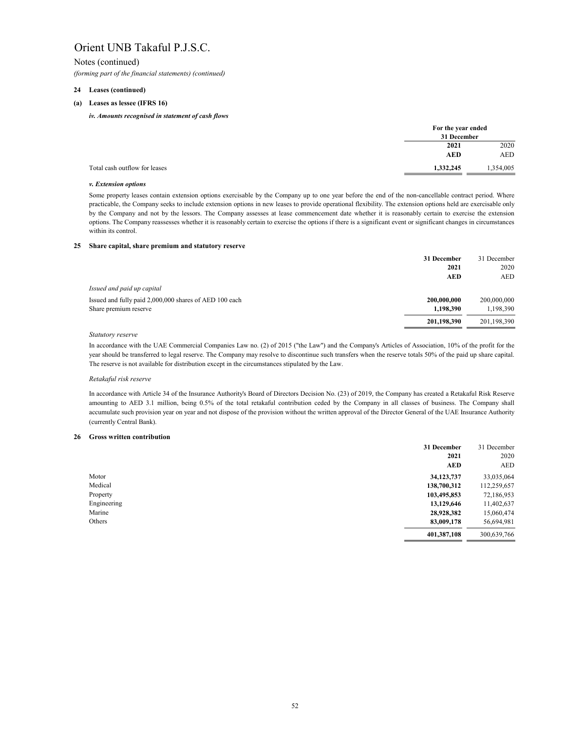Notes (continued) *(forming part of the financial statements) (continued)*

## **24 Leases (continued)**

### **(a) Leases as lessee (IFRS 16)**

### **25 Share capital, share premium and statutory reserve**

|                                                        | 31 December | 31 December |
|--------------------------------------------------------|-------------|-------------|
|                                                        | 2021        | 2020        |
|                                                        | <b>AED</b>  | AED         |
| Issued and paid up capital                             |             |             |
| Issued and fully paid 2,000,000 shares of AED 100 each | 200,000,000 | 200,000,000 |
| Share premium reserve                                  | 1,198,390   | 1,198,390   |
|                                                        | 201,198,390 | 201,198,390 |

### *Statutory reserve*

### *Retakaful risk reserve*

### **26 Gross written contribution**

|             | 31 December | 31 December |
|-------------|-------------|-------------|
|             | 2021        | 2020        |
|             | <b>AED</b>  | AED         |
| Motor       | 34,123,737  | 33,035,064  |
| Medical     | 138,700,312 | 112,259,657 |
| Property    | 103,495,853 | 72,186,953  |
| Engineering | 13,129,646  | 11,402,637  |
| Marine      | 28,928,382  | 15,060,474  |
| Others      | 83,009,178  | 56,694,981  |
|             | 401,387,108 | 300,639,766 |

|                                            | For the year ended |            |
|--------------------------------------------|--------------------|------------|
|                                            | 31 December        |            |
|                                            | 2021               | 2020       |
|                                            | <b>AED</b>         | <b>AED</b> |
| Total cash outflow for leases<br>1,332,245 |                    | 1,354,005  |

In accordance with Article 34 of the Insurance Authority's Board of Directors Decision No. (23) of 2019, the Company has created a Retakaful Risk Reserve amounting to AED 3.1 million, being 0.5% of the total retakaful contribution ceded by the Company in all classes of business. The Company shall accumulate such provision year on year and not dispose of the provision without the written approval of the Director General of the UAE Insurance Authority (currently Central Bank).

In accordance with the UAE Commercial Companies Law no. (2) of 2015 ("the Law") and the Company's Articles of Association, 10% of the profit for the year should be transferred to legal reserve. The Company may resolve to discontinue such transfers when the reserve totals 50% of the paid up share capital. The reserve is not available for distribution except in the circumstances stipulated by the Law.

### *iv. Amounts recognised in statement of cash flows*

Some property leases contain extension options exercisable by the Company up to one year before the end of the non-cancellable contract period. Where practicable, the Company seeks to include extension options in new leases to provide operational flexibility. The extension options held are exercisable only by the Company and not by the lessors. The Company assesses at lease commencement date whether it is reasonably certain to exercise the extension options. The Company reassesses whether it is reasonably certain to exercise the options if there is a significant event or significant changes in circumstances within its control.

### *v. Extension options*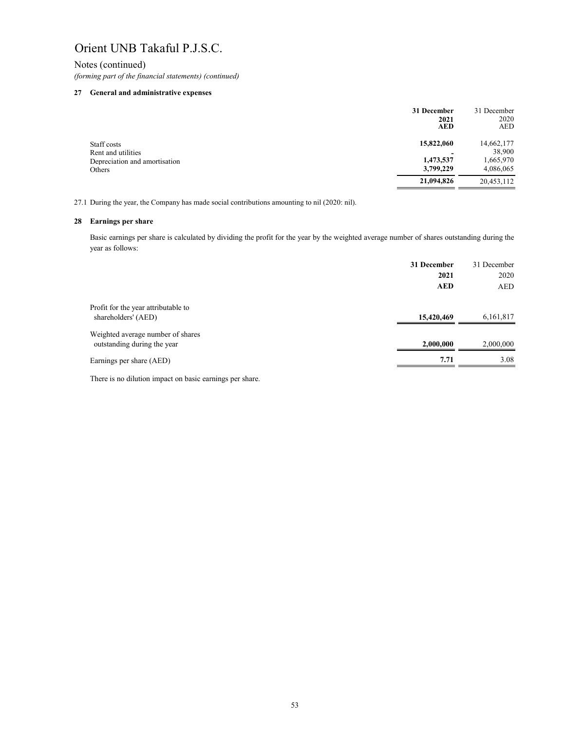Notes (continued)

*(forming part of the financial statements) (continued)*

# **27 General and administrative expenses**

|                                                                              | 31 December<br>2021<br><b>AED</b> | 31 December<br>2020<br>AED |
|------------------------------------------------------------------------------|-----------------------------------|----------------------------|
| Staff costs<br>Rent and utilities<br>Depreciation and amortisation<br>Others | 15,822,060                        | 14,662,177<br>38,900       |
|                                                                              | 1,473,537<br>3,799,229            | 1,665,970<br>4,086,065     |
|                                                                              | 21,094,826                        | 20,453,112                 |

27.1 During the year, the Company has made social contributions amounting to nil (2020: nil).

# **28 Earnings per share**

Basic earnings per share is calculated by dividing the profit for the year by the weighted average number of shares outstanding during the year as follows:

|                                                                  | 31 December | 31 December |
|------------------------------------------------------------------|-------------|-------------|
|                                                                  | 2021        | 2020        |
|                                                                  | <b>AED</b>  | AED         |
| Profit for the year attributable to                              |             |             |
| shareholders' (AED)                                              | 15,420,469  | 6,161,817   |
| Weighted average number of shares<br>outstanding during the year | 2,000,000   | 2,000,000   |
|                                                                  |             |             |
| Earnings per share (AED)                                         | 7.71        | 3.08        |
|                                                                  |             |             |

There is no dilution impact on basic earnings per share.